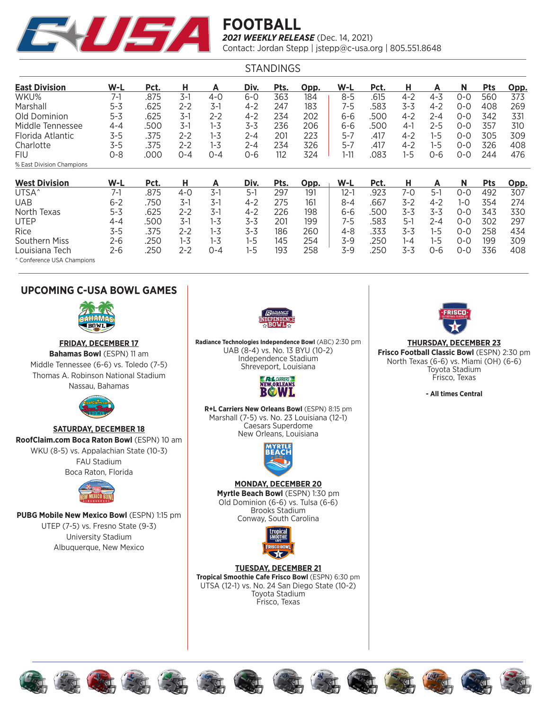

| <b>STANDINGS</b>          |         |      |         |         |         |      |      |          |      |         |         |         |            |      |
|---------------------------|---------|------|---------|---------|---------|------|------|----------|------|---------|---------|---------|------------|------|
| <b>East Division</b>      | $W-L$   | Pct. | н       | Α       | Div.    | Pts. | Opp. | W-L      | Pct. | н       | Α       | N       | <b>Pts</b> | Opp. |
| WKU%                      | $7-1$   | .875 | $3-1$   | $4 - 0$ | $6 - 0$ | 363  | 184  | $8 - 5$  | .615 | $4 - 2$ | $4 - 3$ | $0 - 0$ | 560        | 373  |
| Marshall                  | $5 - 3$ | .625 | 2-2     | $3-1$   | $4 - 2$ | 247  | 183  | 7-5      | .583 | $3 - 3$ | $4 - 2$ | $0 - 0$ | 408        | 269  |
| Old Dominion              | $5 - 3$ | .625 | 3-1     | 2-2     | $4 - 2$ | 234  | 202  | 6-6      | 500  | $4 - 2$ | 2-4     | 0-0     | 342        | 331  |
| Middle Tennessee          | 4-4     | .500 | $3-1$   | $1 - 3$ | $3 - 3$ | 236  | 206  | 6-6      | .500 | $4-1$   | $2 - 5$ | 0-0     | 357        | 310  |
| Florida Atlantic          | 3-5     | .375 | $2 - 2$ | $1 - 3$ | 2-4     | 201  | 223  | 5-7      | .417 | $4 - 2$ | 1-5     | 0-0     | 305        | 309  |
| Charlotte                 | 3-5     | .375 | $2 - 2$ | $1 - 3$ | 2-4     | 234  | 326  | 5-7      | .417 | $4 - 2$ | 1-5     | 0-0     | 326        | 408  |
| FIU                       | $0 - 8$ | .000 | $0 - 4$ | 0-4     | $O - 6$ | 112  | 324  | $1 - 11$ | .083 | $1 - 5$ | 0-6     | 0-0     | 244        | 476  |
| % East Division Champions |         |      |         |         |         |      |      |          |      |         |         |         |            |      |
| <b>West Division</b>      | $W-L$   | Pct. | н       | Α       | Div.    | Pts. | Opp. | $W-L$    | Pct. | н       | A       | N       | <b>Pts</b> | Opp. |
| UTSA <sup>^</sup>         | $7-1$   | .875 | 4-0     | $3-1$   | 5-1     | 297  | 191  | 12-1     | .923 | 7-0     | $5-1$   | $0 - 0$ | 492        | 307  |
| <b>UAB</b>                | $6 - 2$ | .750 | $3-1$   | $3-1$   | $4 - 2$ | 275  | 161  | $8 - 4$  | .667 | $3-2$   | $4 - 2$ | $1 - 0$ | 354        | 274  |
| North Texas               | $5 - 3$ | .625 | $2 - 2$ | $3-1$   | $4 - 2$ | 226  | 198  | 6-6      | 500  | 3-3     | $3 - 3$ | 0-0     | 343        | 330  |
| <b>UTEP</b>               | 4-4     | .500 | $3-1$   | $1 - 3$ | $3 - 3$ | 201  | 199  | 7-5      | .583 | 5-1     | 2-4     | 0-0     | 302        | 297  |
| Rice                      | 3-5     | .375 | $2 - 2$ | $1 - 3$ | $3 - 3$ | 186  | 260  | 4-8      | .333 | 3-3     | $1 - 5$ | $0 - 0$ | 258        | 434  |
| Southern Miss             | 2-6     | 250  | $1 - 3$ | $1 - 3$ | $1 - 5$ | 145  | 254  | 3-9      | 250  | 1-4     | 1-5     | $0 - 0$ | 199        | 309  |

Louisiana Tech 2-6 .250 2-2 0-4 1-5 193 258 3-9 .250 3-3 0-6 0-0 336 408 ^ Conference USA Champions

### **UPCOMING C-USA BOWL GAMES**



**FRIDAY, DECEMBER 17 Bahamas Bowl** (ESPN) 11 am Middle Tennessee (6-6) vs. Toledo (7-5) Thomas A. Robinson National Stadium Nassau, Bahamas



**SATURDAY, DECEMBER 18 RoofClaim.com Boca Raton Bowl** (ESPN) 10 am WKU (8-5) vs. Appalachian State (10-3) FAU Stadium Boca Raton, Florida



**PUBG Mobile New Mexico Bowl** (ESPN) 1:15 pm UTEP (7-5) vs. Fresno State (9-3) University Stadium Albuquerque, New Mexico



**Radiance Technologies Independence Bowl** (ABC) 2:30 pm UAB (8-4) vs. No. 13 BYU (10-2) Independence Stadium Shreveport, Louisiana



**R+L Carriers New Orleans Bowl** (ESPN) 8:15 pm Marshall (7-5) vs. No. 23 Louisiana (12-1) Caesars Superdome New Orleans, Louisiana



### **MONDAY, DECEMBER 20**

**Myrtle Beach Bowl** (ESPN) 1:30 pm Old Dominion (6-6) vs. Tulsa (6-6) Brooks Stadium Conway, South Carolina



**TUESDAY, DECEMBER 21 Tropical Smoothie Cafe Frisco Bowl** (ESPN) 6:30 pm UTSA (12-1) vs. No. 24 San Diego State (10-2) Toyota Stadium Frisco, Texas



**THURSDAY, DECEMBER 23 Frisco Football Classic Bowl** (ESPN) 2:30 pm North Texas (6-6) vs. Miami (OH) (6-6) Toyota Stadium Frisco, Texas

**- All times Central**















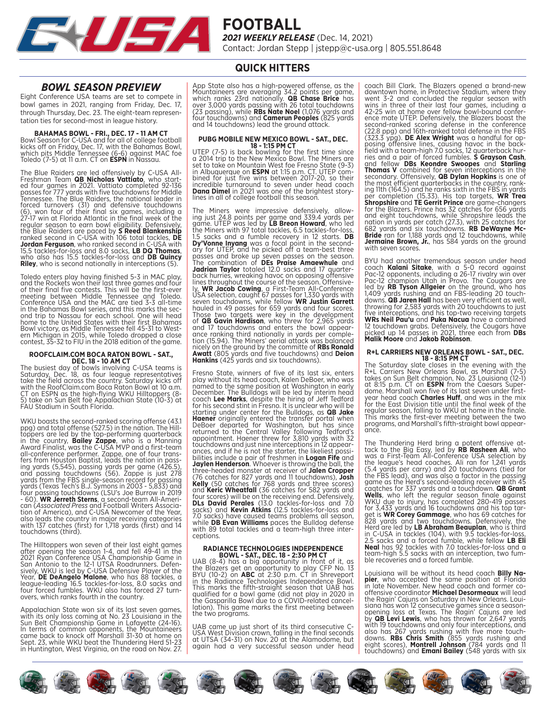

### **QUICK HITTERS**

### *BOWL SEASON PREVIEW*

Eight Conference USA teams are set to compete in bowl games in 2021, ranging from Friday, Dec. 17, through Thursday, Dec. 23. The eight-team representation ties for second-most in league history.

# **BAHAMAS BOWL - FRI., DEC. 17 - 11 AM CT** Bowl Season for C-USA and for all of college football

kicks off on Friday, Dec. 17, with the Bahamas Bowl, which pits Middle Tennessee (6-6) against MAC foe Toledo (7-5) at 11 a.m. CT on **ESPN** in Nassau.

The Blue Raiders are led offensively by C-USA All-<br>Freshman Team **QB Nicholas Vattiato**, who start-<br>ed four games in 2021. Vattiato completed 92-136<br>passes for 777 yards with five touchdowns for Middle<br>Tennessee. The Blue regular season to earn bowl eligibility. Defensively,<br>the Blue Raiders are paced by **S Reed Blankenship**<br>ranked second in C-USA with 106 total tackles, **DE**<br>**Jordan Ferguson**, who ranked second in C-USA with 15.5 tackles-for-loss and 8.0 sacks, **LB DQ Thomas**, who also has 15.5 tackles-for-loss and **DB Quincy Riley**, who is second nationally in interceptions (5).

Toledo enters play having finished 5-3 in MAC play, and the Rockets won their last three games and four of their final five contests. This will be the first-ever meeting between Middle Tennessee and Toledo. Conference USA and the MAC are tied 3-3 all-time in the Bahamas Bowl series, and this marks the sec- ond trip to Nassau for each school. One will head home to the United States with their first Bahamas Bowl victory, as Middle Tennessee fell 45-31 to West- ern Michigan in 2015, while Toledo dropped a close contest, 35-32 to FIU in the 2018 edition of the game.

# **ROOFCLAIM.COM BOCA RATON BOWL - SAT., DEC. 18 - 10 AM CT**

The busiest day of bowls involving C-USA teams is Saturday, Dec. 18, as four league representatives take the field across the country. Saturday kicks off with the RoofClaim.com Boca Raton Bowl at 10 a.m. CT on ESPN as the high-flying WKU Hilltoppers (8- 5) take on Sun Belt foe Appalachian State (10-3) at FAU Stadium in South Florida.

WKU boasts the second-ranked scoring offense (43.1 ppg) and total offense (527.5) in the nation. The Hillppg) and total offense (527.5) in the nation. The Hill-<br>toppers are led by the top-performing quarterback<br>in the country, **Bailey Zappe**, who is a Manning<br>Award Finalist, was the C-USA MVP and <u>a</u> first-team all-conference performer. Zappe, one of four trans-<br>fers from Houston Baptist, leads the nation in pass-<br>ing yards (5,545), passing yards per game (426.5),<br>and passing touchdowns (56). Zappe is just 278<br>yards from the FBS also leads the country in major receiving categories with 137 catches (first) for 1,718 yards (first) and 14 touchdowns (third).

The Hilltoppers won seven of their last eight games<br>after opening the season 1-4, and fell 49-41 in the<br>2021 Ryan Conference USA Championship Game in<br>San Antonio to the 12-1 UTSA Roadrunners. Defen-<br>sively, WKU is led by C

Appalachian State won six of its last seven games,<br>with its only loss coming at No. 23 Louisiana in the<br>Sun Belt Championship Game in Lafayette (24-16).<br>In terms of common opponents, the Mountaineers<br>came back to knock off

App State also has a high-powered offense, as the Mountaineers are averaging 34.2 points per game,<br>which ranks 23rd nationally. **QB Chase Brice** has<br>over 3,000 yards passing with 26 total touchdowns<br>(23 passing), while **RBs Nate Noel** (1,076 yards and<br>four touchdowns) and and 14 touchdowns) lead the ground attack.

**PUBG MOBILE NEW MEXICO BOWL - SAT., DEC.**<br>UTEP (7-5) is back bowling for the first time since<br>a 2014 trip to the New Mexico Bowl. The Miners are<br>set to take on Mountain West foe Fresno State (9-3)<br>in Albuquerque on **ESPN Dana Dimel** in 2021 was one of the brightest story- lines in all of college football this season.

The Miners were impressive defensively, allowing just 24.8 points per game and 339.4 yards per game. UTEP was led by **LB Breon Howard**, who led the Miners with 97 total tackles, 6.5 tackles-for-loss, 1.5 sacks and a fumble **Jadrian Taylor** totaled 12.0 sacks and 17 quarter-<br>back hurries, wreaking havoc on opposing offensive-<br>lines throughout the course of the season. Offensivelines throughout the course of the season. Offensive-<br>ly, **WR Jacob Cowing**, a First-Team All-Conference<br>USA selection, caught 67 passes for 1,330 yards with<br>seven touchdowns, while fellow **WR Justin Garrett**<br>hauled in 49

Fresno State, winners of five of its last six, enters play without its head coach, Kalen DeBoer, who was named to the same position at Washington in early December. The Bulldogs will be led by interim head<br>coach **Lee Marks**, despite the hiring of Jeff Tedford<br>for his **second stint** in Fresno. It is unclear who will be<br>starting under center for the Bulldogs, as **QB Jake**<br>**Hae** touchdowns and just nine interceptions in 12 appear-<br>ances, and if he is not the starter, the likeliest possi-<br>bilities include a pair of freshmen in **Logan Fife** and<br>**Jaylen Henderson**. Whoever is throwing the ball, the three-headed monster at receiver of **Jalen Cropper**<br>(76 catches for 827 yards and 11 touchdowns)**, Josh**<br>**Kelly** (50 catches for 768 yards and three scores)<br>and **Keric Wheatfall** (36 catches for 582 yards and four scores) will be on the receiving end. Defensively,<br>**DLs David Perales** (13.0 tackles-for-loss and 7.0<br>sacks) and **Kevin Atkins** (12.5 tackles-for-loss and<br>7.0 sacks) have caused teams problems all season,<br>while **DB Ev** with 89 total tackles and a team-high three inter- ceptions.

# **RADIANCE TECHNOLOGIES INDEPENDENCE**

**BOWL - SAT., DEC. 18 - 2:30 PM CT** UAB (8-4) has a big opportunity in front of it, as the Blazers get an opportunity to play CFP No. 13 BYU (10-2) on **ABC** at 2:30 p.m. CT in Shreveport in the Radiance Technologies Independence Bowl. This marks the fifth-straight season that UAB has qualified for a bowl game (did not play in 2020 in the Gasparilla Bowl due to a COVID-related cancel-<br>lation). This game marks the first meeting between<br>the two programs.

UAB came up just short of its third consecutive C-USA West Division crown, falling in the final seconds at UTSA (34-31) on Nov. 20 at the Alamodome, but again had a very successful season under head

coach Bill Clark. The Blazers opened a brand-new<br>downtown home, in Protective Stadium, where they<br>went 3-2 and concluded the regular season with<br>wins in three of their last four games, including a<br>42-25 win at home over fe nation in yards per catch (27.3), with 25 catches for 682 yards and six touchdowns. **RB DeWayne Mc- Bride** ran for 1,188 yards and 12 touchdowns, while **Jermaine Brown, Jr.**, has 584 yards on the ground with seven scores.

BYU had another tremendous season under head<br>coach **Kalani Sitak**e, with a 5-0 record against<br>Pac-12 opponents, including a 26-17 rivalry win over<br>Pac-12 champion Utah in Provo. The Cougars are<br>led by **RB Tyson Allgeier** o throwing for 2,583 yards with 20 touchdowns to just five interceptions, and his top-two receiving targets **WRs Neil Pau'u** and **Puka Nacua** have a combined 12 touchdown grabs. Defensively, the Cougars have picked up 14 passes in 2021, three each from **DBs Malik Moore** and **Jakob Robinson**.

**R+L CARRIERS NEW ORLEANS BOWL - SAT., DEC.**<br>**18 - 8:15 PM CT**<br>The Saturday slate closes in the evening with the<br>R+L Carriers New Orleans Bowl, as Marshall (7-5)<br>takes on Sun Belt champion, No. 23 Louisiana (12-1) at 8:15 p.m. CT on **ESPN** from the Caesars Super- dome. Marshall won five of its last seven under firstyear head coach **Charles Huff**, and was in the mix for the East Division title until the final week of the regular season, falling to WKU at home in the finale. This marks the first-ever meeting between the two programs, and Marshall's fifth-straight bowl appear- ance.

The Thundering Herd bring a potent offensive at-<br>tack to the Big Easy, led by **RB Rasheen Ali**, who<br>was a First-Team All-Conference USA selection by the league's head coaches. Ali ran for 1,241 yards (5.4 yards per carry) and 20 touchdowns (tied for the FBS lead), and was also a factor in the passing game as the Herd's second-leading receiver with 45<br>caqtches for 337 yards and a touchdown. **QB Grant**<br>Wells, who left the regular season finale against<br>WKU due to injury, has completed 280-419 passes for 3,433 yards and 16 touchdowns and his top tar-<br>get is **WR Corey Gammage**, who has 69 catches for<br>828 yards and two touchdowns. Defensively, the<br>Herd are led by **LB Abraham Beauplan**, who is third<br>in C-USA in tackles (1

Louisiana will be without its head coach **Billy Na- pier**, who accepted the same position at Florida in late November. New head coach and former cooffensive coordinator **Michael Desormeaux** will lead<br>the Ragin' Cajuns on Saturday in New Orleans. Loui-<br>siana has won 12 consecutive games since a season-<br>opening loss at Texas. The Ragin' Cajuns are led<br>by **QB Levi Lewis** also has 267 yards rushing with five more touch-<br>downs. **RBs Chris Smith** (855 yards rushing and<br>eight scores), **Montrell Johnson** (784 yards and 11<br>touchdowns) and **Emani Bailey** (548 yards with six

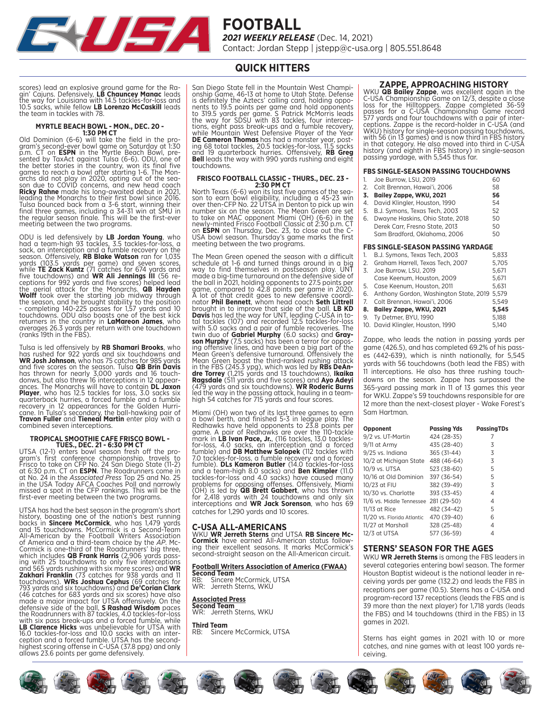

**QUICK HITTERS**

scores) lead an explosive ground game for the Ra-<br>gin' Cajuns. Defensively**, LB Chauncey Manac** leads<br>the way for Louisiana with 14.5 tackles-for-loss and<br>10.5 sacks, while fellow **LB Lorenzo McCaskill** leads the team in tackles with 78.

# **MYRTLE BEACH BOWL - MON., DEC. 20 - 1:30 PM CT**

Old Dominion (6-6) will take the field in the pro- gram's second-ever bowl game on Saturday at 1:30 p.m. CT on **ESPN** in the Myrtle Beach Bowl, pre- sented by TaxAct against Tulsa (6-6). ODU, one of the better stories in the country, won its final five<br>games to reach a bowl after starting 1-6. The Mon-<br>archs did not play in 2020, opting out of the sea-<br>son due to COVID concerns, and new head coach<br>**Ricky Rahne** made h leading the Monarchs to their first bowl since 2016. Tulsa bounced back from a 3-6 start, winning their final three games, including a 34-31 win at SMU in the regular season finale. This will be the first-ever meeting between the two programs.

ODU is led defensively by **LB Jordan Young**, who<br>had a team-high 93 tackles, 3.5 tackles-for-loss, a<br>sack, an interception and a fumble recovery on the<br>season. Offensively, **RB Blake Watson** ran for 1,035<br>yards (103.5 yard returners in the country in **LaMareon James**, who averages 26.3 yards per return with one touchdown (ranks 19th in the FBS).

Tulsa is led offensively by **RB Shamari Brooks**, who<br>has rushed for 922 yards and six touchdowns and<br>**WR Josh Johnson**, who has 75 catches for 985 yards<br>and five scores on the season. Tulsa **QB Brin Davis**<br>has thrown for n quarterback hurries, a forced fumble and a fumble recovery in 12 appearances for the Golden Hurri- cane. In Tulsa's secondary, the ball-hawking pair of **Travon Fuller** and **Tieneal Martin** enter play with a combined seven interceptions.

# **TROPICAL SMOOTHIE CAFE FRISCO BOWL - TUES., DEC. 21 - 6:30 PM CT**

UTSA (12-1) enters bowl season fresh off the pro-<br>gram's first conference championship, travels to<br>Frisco to take on CFP No. 24 San Diego State (11-2)<br>at 6:30 p.m. CT on **ESPN**. The Roadrunners come in at No. 24 in the *Associated Press* Top 25 and No. 25 in the USA Today AFCA Coaches Poll and narrowly missed a spot in the CFP rankings. This will be the first-ever meeting between the two programs.

UTSA has had the best season in the program's short history, boasting one of the nation's best running<br>backs in **Sincere McCormick**, who has 1,479 yards<br>and 15 touchdowns. McCormick is a Second-Team<br>All-American by the Football Writers Association<br>of America and a third-tea which includes **QB Frank Harris** (2,906 yards passing with 25 touchdowns to only five interceptions<br>and 565 yards rushing with six more scores) and **WR**<br>**Zakhari Franklin** (73 catches for 938 yards and 11<br>touchdowns). **WRs** 16.0 tackles-for-loss and 10.0 sacks with an inter- ception and a forced fumble. UTSA has the second-highest scoring offense in C-USA (37.8 ppg) and only allows 23.6 points per game defensively.

San Diego State fell in the Mountain West Champi- onship Game, 46-13 at home to Utah State. Defense is definitely the Aztecs' calling card, holding oppo- nents to 19.5 points per game and hold opponents to 319.5 yards per game. S Patrick McMorris leads the way for SDSU with 83 tackles, four interceptions, eight pass break-ups and a fumble recovery, while Mountain West Defensive Player of the Year **DE Cameron Thomas** has had a monster year, posting 68 total tackles, 20.5 touchdowns.

# **FRISCO FOOTBALL CLASSIC - THURS., DEC. 23 - 2:30 PM CT**

North Texas (6-6) won its last five games of the season to earn bowl eligibility, including a 45-23 win<br>over then-CFP No. 22 UTSA in Denton to pick up win<br>number six on the season. The Mean Green are set<br>to take on MAC opp newly-minted Frisco Football Classic at 2:30 p.m. CT on **ESPN** on Thursday, Dec. 23, to close out the C-USA bowl season. Thursday's game marks the first meeting between the two programs.

The Mean Green opened the season with a difficult<br>schedule at 1-6 and turned things around in a big<br>way to find themselves in postseason play. UNT<br>made a big-time turnaround on the defensive side of<br>the ball in 2021, holdi nator **Phil Bennett**, whom head coach **Seth Littrell**<br>brought in to improve that side of the ball. **LB KD**<br>**Davis** has led the way for UNT, leading C-USA in total tackles (107) and recorded 12.5 tackles-for-loss with 5.0 sacks and a pair of fumble recoveries. The<br>twin duo of **Gabriel Murphy** (6.0 sacks) and **Gray-**<br>son Murphy (7.5 sacks) has been a terror for oppos-<br>ing offensive lines, and have been a big part of the Mean Green's defensive turnaround. Offensively the<br>Mean Green boast the third-ranked rushing attack<br>in the FBS (245.3 ypg), which was led by **RBs DeAn-**<br>dre Torrey (1,215 yards and 13 touchdowns), **Ikaika<br>Ragsdale** (511 ya high 54 catches for 715 yards and four scores.

Miami (OH) won two of its last three games to earn<br>a bowl berth, and finished 5-3 in league play. The<br>Redhawks have held opponents to 23.8 points per<br>game. A pair of Redhawks are over the 110-tackle<br>mark in **LB Ivan Pace,** 7.0 tackles-for-loss, a fumble recovery and a forced fumble). **DLs Kameron Butler** (14.0 tackles-for-loss and a team-high 8.0 sacks) and **Ben Kimpler** (11.0 tackles-for-loss and 4.0 sacks) have caused many problems for opposing offenses. Offensively, Miami<br>(OH) is led by **QB Brett Gabbert**, who has thrown<br>for 2,418 yards with 24 touchdowns and only six<br>interceptions and **WR Jack Sorenson**, who has 69 catches for 1,290 yards and 10 scores.

#### **C-USA ALL-AMERICANS**

WKU **WR Jerreth Sterns** and UTSA **RB Sincere Mc-**<br>**Cormick** have earned All-American status follow-<br>ing their excellent seasons. It marks McCormick's<br>second-straight season on the All-American circuit.

# **Football Writers Association of America (FWAA) Second Team**

RB: Sincere McCormick, UTSA WR: Jerreth Sterns, WKU

**Associated Press Second Team** WR: Jerreth Sterns, WKU

**Third Team** Sincere McCormick, UTSA

#### **ZAPPE, APPROACHING HISTORY**

WKU **QB Bailey Zappe**, was excellent again in the C-USA Championship Game on 12/3, despite a close loss for the Hilltoppers. Zappe completed 36-59 passes for a C-USA Championship Game record 577 yards and four touchdowns w WKU) history for single-season passing touchdowns,<br>with 56 (in 13 games) and is now third in FBS history<br>in that category. He also moved into third in C-USA<br>history (and eighth in FBS history) in single-season<br>passing yard

#### **FBS SINGLE-SEASON PASSING TOUCHDOWNS**

| 1. | Joe Burrow, LSU, 2019               | 60   |
|----|-------------------------------------|------|
|    | 2.    Colt Brennan. Hawai'i. 2006   | 58   |
| 3. | Bailey Zappe, WKU, 2021             | 56   |
| 4. | David Klingler, Houston, 1990       | 54   |
| 5. | B.J. Symons, Texas Tech, 2003       | 52   |
| 6. | Dwayne Haskins, Ohio State, 2018    | 50   |
|    | Derek Carr, Fresno State, 2013      | 50   |
|    | Sam Bradford, Oklahoma, 2006        | 50   |
|    | FBS SINGLE-SEASON PASSING YARDAGE   |      |
| 1. | B.J. Symons. Texas Tech. 2003       | 5.83 |
|    | 2. Graham Harrell, Texas Tech, 2007 | 5.7C |
|    | 1.011.0010                          |      |

#### **FBS SINGLE-SEASON PASSING YARDAGE**

| 1. B.J. Symons, Texas Tech, 2003                | 5.833  |
|-------------------------------------------------|--------|
| 2. Graham Harrell, Texas Tech, 2007             | 5.705  |
| 3. Joe Burrow. LSU, 2019                        | 5.671  |
| Case Keenum. Houston, 2009                      | 5.671  |
| 5. Case Keenum. Houston. 2011                   | 5.631  |
| 6. Anthony Gordon, Washington State, 2019 5,579 |        |
| 7.    Colt Brennan. Hawai'i. 2006               | 5.549  |
| 8. Bailey Zappe, WKU, 2021                      | 5.545  |
| 9. Tv Detmer, BYU, 1990                         | 5.188  |
| $10.5$ $\ldots$ $111$                           | $-110$ |

10. David Klingler, Houston, 1990 5,140

Zappe, who leads the nation in passing yards per game (426.5), and has completed 69.2% of his passes (442-639), which is ninth nationally, for 5,545 yards with 56 touchdowns (both lead the FBS) with 11 interceptions. He also has three rushing touchdowns on the season. Zappe has surpassed the 365-yard passing mark in 11 of 13 games this year for WKU. Zappe's 59 touchdowns responsible for are 12 more than the next-closest player - Wake Forest's Sam Hartman.

| Opponent                   | <b>Passing Yds</b> | PassingTDs |
|----------------------------|--------------------|------------|
| 9/2 vs. UT-Martin          | 424 (28-35)        |            |
| 9/11 at Army               | 435 (28-40)        | 3          |
| 9/25 vs. Indiana           | 365 (31-44)        | 3          |
| 10/2 at Michigan State     | 488 (46-64)        | 3          |
| 10/9 vs. UTSA              | 523 (38-60)        | 5          |
| 10/16 at Old Dominion      | 397 (36-54)        | 5          |
| 10/23 at FIU               | 382 (39-49)        | 3          |
| 10/30 vs. Charlotte        | 393 (33-45)        | 4          |
| 11/6 vs. Middle Tennessee  | 281 (29-50)        | 4          |
| 11/13 at Rice              | 482 (34-42)        | 5          |
| 11/20 vs. Florida Atlantic | 470 (39-40)        | 6          |
| 11/27 at Marshall          | 328 (25-48)        | 4          |
| 12/3 at UTSA               | 577 (36-59)        | 4          |

#### **STERNS' SEASON FOR THE AGES**

WKU **WR Jerreth Sterns** is among the FBS leaders in several categories entering bowl season. The former Houston Baptist wideout is the national leader in receiving yards per game (132.2) and leads the FBS in receptions per game (10.5). Sterns has a C-USA and program-record 137 receptions (leads the FBS and is 39 more than the next player) for 1,718 yards (leads the FBS) and 14 touchdowns (third in the FBS) in 13 games in 2021.

Sterns has eight games in 2021 with 10 or more catches, and nine games with at least 100 yards receiving.

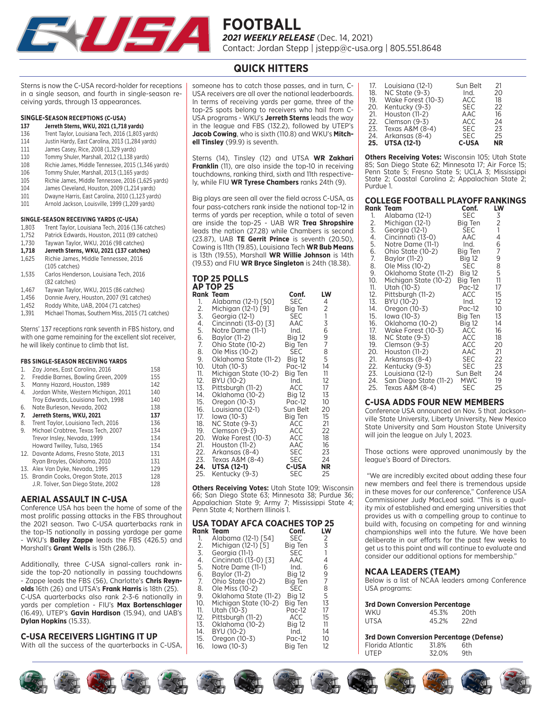

### **QUICK HITTERS**

Sterns is now the C-USA record-holder for receptions in a single season, and fourth in single-season receiving yards, through 13 appearances.

#### **SINGLE-SEASON RECEPTIONS (C-USA)**

- **137 Jerreth Sterns, WKU, 2021 (1,718 yards)**
- 136 Trent Taylor, Louisiana Tech, 2016 (1,803 yards)
- 114 Justin Hardy, East Carolina, 2013 (1,284 yards) 111 James Casey, Rice, 2008 (1,329 yards)
- 110 Tommy Shuler, Marshall, 2012 (1,138 yards)
- 108 Richie James, Middle Tennessee, 2015 (1,346 yards)
- 106 Tommy Shuler, Marshall, 2013 (1,165 yards)
- 105 Richie James, Middle Tennessee, 2016 (1,625 yards)
- 
- 104 James Cleveland, Houston, 2009 (1,214 yards) Dwayne Harris, East Carolina, 2010 (1,123 yards)
- 101 Arnold Jackson, Louisville, 1999 (1,209 yards)

- **SINGLE-SEASON RECEIVING YARDS (C-USA)**<br>1,803 Trent Taylor, Louisiana Tech, 2016 (13 Trent Taylor, Louisiana Tech, 2016 (136 catches)
- 1,752 Patrick Edwards, Houston, 2011 (89 catches)
- 1,730 Taywan Taylor, WKU, 2016 (98 catches)
- **1,718 Jerreth Sterns, WKU, 2021 (137 catches)**
- 1,625 Richie James, Middle Tennessee, 2016
- (105 catches) 1,535 Carlos Henderson, Louisiana Tech, 2016 (82 catches)
- 1,467 Taywan Taylor, WKU, 2015 (86 catches)
- 1,456 Donnie Avery, Houston, 2007 (91 catches)
- 1,452 Roddy White, UAB, 2004 (71 catches)
- 1,391 Michael Thomas, Southern Miss, 2015 (71 catches)

Sterns' 137 receptions rank seventh in FBS history, and with one game remaining for the excellent slot receiver, he will likely continue to climb that list.

#### **FBS SINGLE-SEASON BECEIVING VARDS**

| Zav Jones, East Carolina, 2016       | 158                                                                                   |
|--------------------------------------|---------------------------------------------------------------------------------------|
| Freddie Barnes, Bowling Green, 2009  | 155                                                                                   |
| Manny Hazard, Houston, 1989          | 142                                                                                   |
| Jordan White, Western Michigan, 2011 | 140                                                                                   |
| Troy Edwards, Louisiana Tech, 1998   | 140                                                                                   |
| Nate Burleson, Nevada, 2002          | 138                                                                                   |
| Jerreth Sterns, WKU, 2021            | 137                                                                                   |
| Trent Taylor, Louisiana Tech, 2016   | 136                                                                                   |
| Michael Crabtree, Texas Tech, 2007   | 134                                                                                   |
| Trevor Inslev. Nevada, 1999          | 134                                                                                   |
| Howard Twilley, Tulsa, 1965          | 134                                                                                   |
|                                      | 131                                                                                   |
| Ryan Brovles, Oklahoma, 2010         | 131                                                                                   |
| Alex Van Dyke, Nevada, 1995          | 129                                                                                   |
|                                      | 128                                                                                   |
| J.R. Tolver, San Diego State, 2002   | 128                                                                                   |
|                                      | 12. Davante Adams, Fresno State, 2013<br>13.<br>15. Brandin Cooks. Oregon State, 2013 |

#### **AERIAL ASSAULT IN C-USA**

Conference USA has been the home of some of the most prolific passing attacks in the FBS throughout the 2021 season. Two C-USA quarterbacks rank in the top-15 nationally in passing yardage per game - WKU's **Bailey Zappe** leads the FBS (426.5) and Marshall's **Grant Wells** is 15th (286.1).

Additionally, three C-USA signal-callers rank inside the top-20 nationally in passing touchdowns - Zappe leads the FBS (56), Charlotte's **Chris Reynolds** 16th (26) and UTSA's **Frank Harris** is 18th (25). C-USA quarterbacks also rank 2-3-6 nationally in yards per completion - FIU's **Max Bortenschlager** (16.49), UTEP's **Gavin Hardison** (15.94), and UAB's **Dylan Hopkins** (15.33).

#### **C-USA RECEIVERS LIGHTING IT UP**

With all the success of the quarterbacks in C-USA,

someone has to catch those passes, and in turn, C-USA receivers are all over the national leaderboards. In terms of receiving yards per game, three of the top-25 spots belong to receivers who hail from C-USA programs - WKU's **Jerreth Sterns** leads the way in the league and FBS (132.2), followed by UTEP's **Jacob Cowing**, who is sixth (110.8) and WKU's **Mitchell Tinsley** (99.9) is seventh.

Sterns (14), Tinsley (12) and UTSA **WR Zakhari Franklin** (11), are also inside the top-10 in receiving touchdowns, ranking third, sixth and 11th respectively, while FIU **WR Tyrese Chambers** ranks 24th (9).

Big plays are seen all over the field across C-USA, as four pass-catchers rank inside the national top-12 in terms of yards per reception, while a total of seven are inside the top-25 - UAB WR **Trea Shropshire**  leads the nation (27.28) while Chambers is second (23.87), UAB **TE Gerrit Prince** is seventh (20.50), Cowing is 11th (19.85), Louisiana Tech **WR Bub Means** is 13th (19.55), Marshall **WR Willie Johnson** is 14th (19.53) and FIU **WR Bryce Singleton** is 24th (18.38).

### **TOP 25 POLLS AP TOP 25**

|     | Rank Team             | Conf.         | LW                                         |
|-----|-----------------------|---------------|--------------------------------------------|
| 1.  | Alabama (12-1) [50]   | SEC           | 4                                          |
| 2.  | Michigan (12-1) [9]   | Big Ten       | $\overline{c}$                             |
| 3.  | Georgia (12-1)        | <b>SEC</b>    |                                            |
| 4.  | Cincinnati (13-0) [3] | AAC           | $\begin{array}{c} 1 \\ 3 \\ 6 \end{array}$ |
| 5.  | Notre Dame (11-1)     | Ind.          |                                            |
| 6.  | Baylor (11-2)         | Big 12        | 9                                          |
| 7.  | Ohio State (10-2)     | Big Ten       | 7                                          |
| 8.  | Ole Miss (10-2)       | <b>SEC</b>    | 8                                          |
| 9.  | Oklahoma State (11-2) | <b>Big 12</b> | 5                                          |
| 10. | Utah (10-3)           | Pac-12        | 14                                         |
| 11. | Michigan State (10-2) | Big Ten       | 11                                         |
| 12. | BYU (10-2)            | Ind.          | 12                                         |
| 13. | Pittsburgh (11-2)     | ACC           | 17                                         |
| 14. | Oklahoma (10-2)       | <b>Big 12</b> | 13                                         |
| 15. | Oregon (10-3)         | $Pac-12$      | 10                                         |
| 16. | Louisiana (12-1)      | Sun Belt      | 20                                         |
| 17. | lowa (10-3)           | Big Ten       | 15                                         |
| 18. | <b>NC State (9-3)</b> | ACC           | 21                                         |
| 19. | Clemson (9-3)         | ACC           | 22                                         |
| 20. | Wake Forest (10-3)    | ACC           | 18                                         |
| 21. | Houston (11-2)        | AAC           | 16                                         |
| 22. | Arkansas (8-4)        | <b>SEC</b>    | 23                                         |
| 23. | Texas $A&M(8-4)$      | <b>SEC</b>    | 24                                         |
| 24. | <b>UTSA (12-1)</b>    | <b>C-USA</b>  | NR                                         |
| 25. | Kentucky (9-3)        | SEC           | 25                                         |

**Others Receiving Votes:** Utah State 109; Wisconsin 66; San Diego State 63; Minnesota 38; Purdue 36; Appalachian State 9; Army 7; Mississippi State 4; Penn State 4; Northern Illinois 1.

#### **USA TODAY AFCA COACHES TOP 25**

|     | <b>Rank Team</b>      | Conf.      | LW |
|-----|-----------------------|------------|----|
| 1.  | Alabama (12-1) [541   | <b>SEC</b> | 2  |
| 2.  | Michigan (12-1) [5]   | Bia Ten    | 3  |
| 3.  | Georgia (11-1)        | <b>SEC</b> |    |
| 4.  | Cincinnati (13-0) [3] | AAC        | 4  |
| 5.  | Notre Dame (11-1)     | Ind.       | 6  |
| 6.  | Baylor (11-2)         | Bia 12     | 9  |
| 7.  | Ohio State (10-2)     | Bia Ten    | 7  |
| 8.  | Ole Miss (10-2)       | <b>SEC</b> | 8  |
| 9.  | Oklahoma State (11-2) | Bia 12     | 5  |
| 10. | Michigan State (10-2) | Bia Ten    | 13 |
| 11. | Utah (10-3)           | Pac-12     | 17 |
| 12. | Pittsburgh (11-2)     | ACC        | 15 |
| 13. | Oklahoma (10-2)       | Big 12     | 11 |
| 14. | BYU (10-2)            | Ind.       | 14 |
| 15. | Oregon (10-3)         | Pac-12     | 10 |
| 16. | lowa (10-3)           | Bia Ten    | 12 |

| 17. | Louisiana (12-1)   | Sun Belt     | 21        |
|-----|--------------------|--------------|-----------|
| 18. | NC State (9-3)     | Ind.         | 20        |
| 19. | Wake Forest (10-3) | ACC          | 18        |
| 20. | Kentucky (9-3)     | <b>SEC</b>   | 22        |
| 21. | Houston (11-2)     | AAC          | 16        |
| 22. | Clemson (9-3)      | ACC          | 24        |
| 23. | Texas A&M (8-4)    | <b>SEC</b>   | 23        |
| 24. | Arkansas (8-4)     | <b>SEC</b>   | 25        |
| 25. | <b>UTSA (12-1)</b> | <b>C-USA</b> | <b>NR</b> |

**Others Receiving Votes:** Wisconsin 105; Utah State 85; San Diego State 62; Minnesota 17; Air Force 15; Penn State 5; Fresno State 5; UCLA 3; Mississippi State 2; Coastal Carolina 2; Appalachian State 2; Purdue 1.

#### **COLLEGE FOOTBALL PLAYOFF RANKINGS Rank Team Conf. LW**

| ruur | 154111                 | JUII.         | ⊢vv               |
|------|------------------------|---------------|-------------------|
| 1.   | Alabama (12-1)         | SEC           | 3                 |
| 2.   | Michigan (12-1)        | Big Ten       | $\frac{2}{1}$ 4 6 |
| 3.   | Georgia (12-1)         | SEC           |                   |
| 4.   | Cincinnati (13-0)      | AAC           |                   |
| 5.   | Notre Dame (11-1)      | Ind.          |                   |
| 6.   | Ohio State (10-2)      | Big Ten       | 7                 |
| 7.   | Baylor (11-2)          | <b>Big 12</b> | 9                 |
| 8.   | Ole Miss (10-2)        | SEC           | $\overline{8}$    |
| 9.   | Oklahoma State (11-2)  | <b>Big 12</b> | 5                 |
| 10.  | Michigan State (10-2)  | Big Ten       | 11                |
| 11.  | Utah (10-3)            | Pac-12        | 17                |
| 12.  | Pittsburgh (11-2)      | ACC           | 15                |
| 13.  | BYU (10-2)             | Ind.          | 12                |
| 14.  | Oregon (10-3)          | Pac-12        | 10                |
| 15.  | lowa (10-3)            | Big Ten       | 13                |
| 16.  | Oklahoma (10-2)        | <b>Big 12</b> | 14                |
| 17.  | Wake Forest (10-3)     | ACC           | 16                |
| 18.  | NC State (9-3)         | ACC           | 18                |
| 19.  | Clemson (9-3)          | ACC           | 20                |
| 20.  | Houston (11-2)         | AAC           | 21                |
| 21.  | Arkansas (8-4)         | <b>SEC</b>    | 22                |
| 22.  | Kentucky (9-3)         | SEC.          | 23                |
| 23.  | Louisiana (12-1)       | Sun Belt      | 24                |
| 24.  | San Diego State (11-2) | <b>MWC</b>    | 19                |
| 25.  | Texas A&M (8-4)        | SEC           | 25                |

#### **C-USA ADDS FOUR NEW MEMBERS**

Conference USA announced on Nov. 5 that Jacksonville State University, Liberty University, New Mexico State University and Sam Houston State University will join the league on July 1, 2023.

Those actions were approved unanimously by the league's Board of Directors.

 "We are incredibly excited about adding these four new members and feel there is tremendous upside in these moves for our conference," Conference USA Commissioner Judy MacLeod said. "This is a quality mix of established and emerging universities that provides us with a compelling group to continue to build with, focusing on competing for and winning championships well into the future. We have been deliberate in our efforts for the past few weeks to get us to this point and will continue to evaluate and consider our additional options for membership."

#### **NCAA LEADERS (TEAM)**

Below is a list of NCAA leaders among Conference USA programs:

32.0% 9th

|  |  |  | <b>3rd Down Conversion Percentage</b> |
|--|--|--|---------------------------------------|
|--|--|--|---------------------------------------|

| WKU  | 45.3% | 20th |
|------|-------|------|
| UTSA | 45.2% | 22nd |

**3rd Down Conversion Percentage (Defense)** Florida Atlantic 31.8% 6th

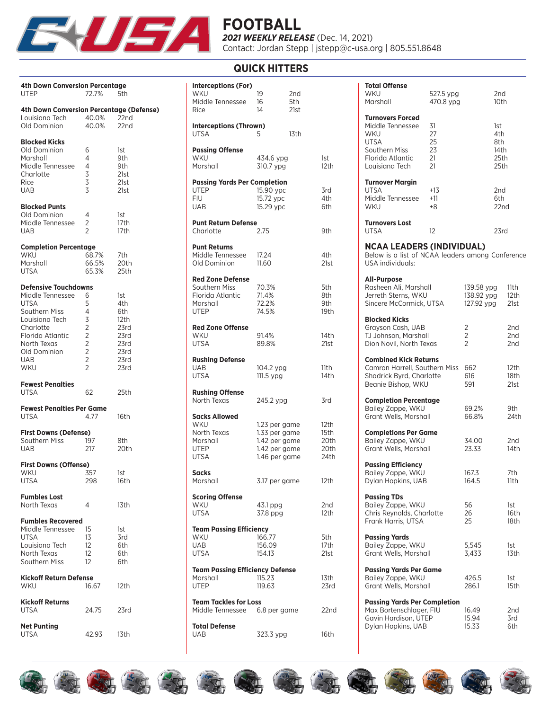

### **QUICK HITTERS**

| <b>4th Down Conversion Percentage</b><br>UTEP                                                                                                                            | 72.7%                                                                                                     | 5th                                                                       |
|--------------------------------------------------------------------------------------------------------------------------------------------------------------------------|-----------------------------------------------------------------------------------------------------------|---------------------------------------------------------------------------|
| <b>4th Down Conversion Percentage (Defense)</b><br>Louisiana Tech<br>Old Dominion                                                                                        | 40.0%<br>40.0%                                                                                            | 22nd<br>22nd                                                              |
| <b>Blocked Kicks</b><br>Old Dominion<br>Marshall<br>Middle Tennessee<br>Charlotte<br>Rice<br>UAB                                                                         | 6<br>4<br>4<br>3<br>3<br>3                                                                                | 1st<br>9th<br>9th<br>21st<br>21st<br>21st                                 |
| <b>Blocked Punts</b><br>Old Dominion<br>Middle Tennessee<br>UAB                                                                                                          | 4<br>2<br>$\overline{2}$                                                                                  | 1st<br>17th<br>17th                                                       |
| <b>Completion Percentage</b><br>WKU<br>Marshall<br>UTSA                                                                                                                  | 68.7%<br>66.5%<br>65.3%                                                                                   | 7th<br>20th<br>25th                                                       |
| <b>Defensive Touchdowns</b><br>Middle Tennessee<br>UTSA<br>Southern Miss<br>Louisiana Tech<br>Charlotte<br>Florida Atlantic<br>North Texas<br>Old Dominion<br>UAB<br>WKU | 6<br>5<br>4<br>3<br>$\overline{c}$<br>$\frac{2}{2}$<br>$\overline{c}$<br>$\overline{c}$<br>$\overline{2}$ | 1st<br>4th<br>6th<br>12th<br>23rd<br>23rd<br>23rd<br>23rd<br>23rd<br>23rd |
| <b>Fewest Penalties</b><br>UTSA                                                                                                                                          | 62                                                                                                        | 25th                                                                      |
| <b>Fewest Penalties Per Game</b><br>UTSA                                                                                                                                 | 4.77                                                                                                      | 16th                                                                      |
| <b>First Downs (Defense)</b><br>Southern Miss<br>UAB                                                                                                                     | 197<br>217                                                                                                | 8th<br>20th                                                               |
| <b>First Downs (Offense)</b><br>WKU<br>UTSA                                                                                                                              | 357<br>298                                                                                                | 1st<br>16th                                                               |
| <b>Fumbles Lost</b><br>North Texas                                                                                                                                       | 4                                                                                                         | 13th                                                                      |
| <b>Fumbles Recovered</b><br>Middle Tennessee<br><b>UTSA</b><br>Louisiana Tech<br>North Texas<br>Southern Miss                                                            | 15<br>13<br>$12 \overline{ }$<br>$12 \overline{ }$<br>12                                                  | 1st<br>3rd<br>6th<br>6th<br>6th                                           |
| <b>Kickoff Return Defense</b><br>WKU                                                                                                                                     | 16.67                                                                                                     | 12th                                                                      |
| <b>Kickoff Returns</b><br><b>UTSA</b>                                                                                                                                    | 24.75                                                                                                     | 23rd                                                                      |
| <b>Net Punting</b><br>UTSA                                                                                                                                               | 42.93                                                                                                     | 13th                                                                      |

| <b>Interceptions (For)</b><br>WKU<br>Middle Tennessee<br>Rice                               | 19<br>16<br>14                                                                    | 2nd<br>5th<br>21st |                                      |
|---------------------------------------------------------------------------------------------|-----------------------------------------------------------------------------------|--------------------|--------------------------------------|
| <b>Interceptions (Thrown)</b><br><b>UTSA</b>                                                | 5                                                                                 | 13th               |                                      |
| <b>Passing Offense</b><br><b>WKU</b><br>Marshall                                            | 434.6 ypg<br>310.7 ypg                                                            |                    | 1st<br>12th                          |
| <b>Passing Yards Per Completion</b><br><b>UTEP</b><br><b>FIU</b><br><b>UAB</b>              | 15.90 ypc<br>15.72 ypc<br>15.29 ypc                                               |                    | 3rd<br>4th<br>6th                    |
| <b>Punt Return Defense</b><br>Charlotte                                                     | 2.75                                                                              |                    | 9th                                  |
| <b>Punt Returns</b><br>Middle Tennessee<br>Old Dominion                                     | 17.24<br>11.60                                                                    |                    | 4th<br>21st                          |
| <b>Red Zone Defense</b><br>Southern Miss<br>Florida Atlantic<br>Marshall<br><b>UTEP</b>     | 70.3%<br>71.4%<br>72.2%<br>74.5%                                                  |                    | 5th<br>8th<br>9th<br>19th            |
| <b>Red Zone Offense</b><br><b>WKU</b><br><b>UTSA</b>                                        | 91.4%<br>89.8%                                                                    |                    | 14th<br>21st                         |
| <b>Rushing Defense</b><br><b>UAB</b><br><b>UTSA</b>                                         | 104.2 ypg<br>111.5 ypg                                                            |                    | 11th<br>14th                         |
| <b>Rushing Offense</b><br>North Texas                                                       | 245.2 ypg                                                                         |                    | 3rd                                  |
| <b>Sacks Allowed</b><br><b>WKU</b><br>North Texas<br>Marshall<br><b>UTEP</b><br><b>UTSA</b> | 1.23 per game<br>1.33 per game<br>1.42 per game<br>1.42 per game<br>1.46 per game |                    | 12th<br>15th<br>20th<br>20th<br>24th |
| <b>Sacks</b><br>Marshall                                                                    | 3.17 per game                                                                     |                    | 12th                                 |
| <b>Scoring Offense</b><br>WKU<br><b>UTSA</b>                                                | 43.1 ppg<br>37.8 ppg                                                              |                    | 2nd<br>12th                          |
| <b>Team Passing Efficiency</b><br>WKU<br>UAB<br><b>UTSA</b>                                 | 166.77<br>156.09<br>154.13                                                        |                    | 5th<br>17th<br>21st                  |
| <b>Team Passing Efficiency Defense</b><br>Marshall<br><b>UTEP</b>                           | 115.23<br>119.63                                                                  |                    | 13th<br>23rd                         |
| <b>Team Tackles for Loss</b><br>Middle Tennessee 6.8 per game                               |                                                                                   |                    | 22nd                                 |
| <b>Total Defense</b><br><b>UAB</b>                                                          | 323.3 ypg                                                                         |                    | 16th                                 |

| Total Offense<br>WKU<br>Marshall                                                                                  | 527.5 ypg<br>470.8 ypg           |                                        | 2nd<br>10th                               |                      |
|-------------------------------------------------------------------------------------------------------------------|----------------------------------|----------------------------------------|-------------------------------------------|----------------------|
| <b>Turnovers Forced</b><br>Middle Tennessee<br>WKU<br>UTSA<br>Southern Miss<br>Florida Atlantic<br>Louisiana Tech | 31<br>27<br>25<br>23<br>21<br>21 |                                        | 1st<br>4th<br>8th<br>14th<br>25th<br>25th |                      |
| Turnover Margin<br>UTSA<br>Middle Tennessee<br>WKU                                                                | +13<br>$+11$<br>+8               |                                        | 2nd<br>6th<br>22nd                        |                      |
| <b>Turnovers Lost</b><br>UTSA                                                                                     | 12                               |                                        | 23rd                                      |                      |
| <b>NCAA LEADERS (INDIVIDUAL)</b><br>Below is a list of NCAA leaders among Conference<br><b>USA</b> individuals:   |                                  |                                        |                                           |                      |
| <b>All-Purpose</b><br>Rasheen Ali, Marshall<br>Jerreth Sterns, WKU<br>Sincere McCormick, UTSA                     |                                  | 139.58 ypg<br>138.92 ypg<br>127.92 ypg |                                           | 11th<br>12th<br>21st |
| <b>Blocked Kicks</b><br>Grayson Cash, UAB<br>TJ Johnson, Marshall<br>Dion Novil, North Texas                      |                                  | 2<br>2<br>$\overline{2}$               |                                           | 2nd<br>2nd<br>2nd    |
| <b>Combined Kick Returns</b><br>Camron Harrell, Southern Miss<br>Shadrick Byrd, Charlotte<br>Beanie Bishop, WKU   |                                  | 662<br>616<br>591                      |                                           | 12th<br>18th<br>21st |
| <b>Completion Percentage</b><br>Bailey Zappe, WKU<br>Grant Wells, Marshall                                        |                                  | 69.2%<br>66.8%                         |                                           | 9th<br>24th          |
| <b>Completions Per Game</b><br>Bailey Zappe, WKU<br>Grant Wells, Marshall                                         |                                  | 34.00<br>23.33                         |                                           | 2nd<br>14th          |
| <b>Passing Efficiency</b><br>Bailey Zappe, WKU<br>Dylan Hopkins, UAB                                              |                                  | 167.3<br>164.5                         |                                           | 7th<br>11th          |
| <b>Passing TDs</b><br>Bailey Zappe, WKU<br>Chris Reynolds, Charlotte<br>Frank Harris, UTSA                        |                                  | 56<br>26<br>25                         |                                           | 1st<br>16th<br>18th  |
| <b>Passing Yards</b><br>Bailey Zappe, WKU<br>Grant Wells, Marshall                                                |                                  | 5,545<br>3,433                         |                                           | 1st<br>13th          |
| <b>Passing Yards Per Game</b><br>Bailey Zappe, WKU<br>Grant Wells, Marshall                                       |                                  | 426.5<br>286.1                         |                                           | 1st<br>15th          |
| <b>Passing Yards Per Completion</b><br>Max Bortenschlager, FIU<br>Gavin Hardison, UTEP<br>Dylan Hopkins, UAB      |                                  | 16.49<br>15.94<br>15.33                |                                           | 2nd<br>3rd<br>6th    |

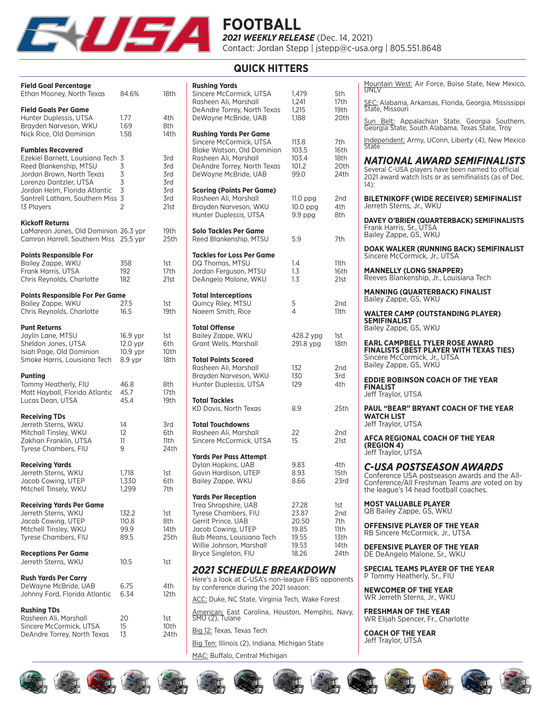

### **QUICK HITTERS**

| <b>Field Goal Percentage</b><br>Ethan Mooney, North Texas                                                                                                                                                                       | 84.6%                                                | 18th                                           |
|---------------------------------------------------------------------------------------------------------------------------------------------------------------------------------------------------------------------------------|------------------------------------------------------|------------------------------------------------|
| <b>Field Goals Per Game</b><br>Hunter Duplessis, UTSA<br>Brayden Narveson, WKU<br>Nick Rice, Old Dominion                                                                                                                       | 1.77<br>1.69<br>1.58                                 | 4th<br>8th<br>14th                             |
| <b>Fumbles Recovered</b><br>Ezekiel Barnett, Louisiana Tech 3<br>Reed Blankenship, MTSU<br>Jordan Brown, North Texas<br>Lorenzo Dantzler, UTSA<br>Jordan Helm, Florida Atlantic<br>Santrell Latham, Southern Miss<br>13 Players | 3<br>3<br>$\overline{3}$<br>3<br>3<br>$\overline{2}$ | 3rd<br>3rd<br>3rd<br>3rd<br>3rd<br>3rd<br>21st |
| <b>Kickoff Returns</b><br>LaMareon Jones, Old Dominion 26.3 ypr<br>Camron Harrell, Southern Miss                                                                                                                                | 25.5 ypr                                             | 19th<br>25th                                   |
| <b>Points Responsible For</b><br>Bailey Zappe, WKU<br>Frank Harris, UTSA<br>Chris Reynolds, Charlotte                                                                                                                           | 358<br>192<br>182                                    | 1st<br>17th<br>21st                            |
| <b>Points Responsible For Per Game</b><br>Bailey Zappe, WKU<br>Chris Reynolds, Charlotte                                                                                                                                        | 27.5<br>16.5                                         | 1st<br>19th                                    |
| <b>Punt Returns</b><br>Jaylin Lane, MTSU<br>Sheldon Jones, UTSA<br>Isiah Page, Old Dominion<br>Smoke Harris, Louisiana Tech                                                                                                     | 16.9 ypr<br>12.0 ypr<br>10.9 ypr<br>8.9 ypr          | 1st<br>6th<br>10th<br>18th                     |
| <b>Punting</b><br>Tommy Heatherly, FIU<br>Matt Hayball, Florida Atlantic<br>Lucas Dean, UTSA                                                                                                                                    | 46.8<br>45.7<br>45.4                                 | 8th<br>17th<br>19th                            |
| <b>Receiving TDs</b><br>Jerreth Sterns, WKU<br>Mitchall Tinsley, WKU<br>Zakhari Franklin, UTSA<br>Tyrese Chambers, FIU                                                                                                          | 14<br>12<br>11<br>9                                  | 3rd<br>6th<br>11th<br>24th                     |
| <b>Receiving Yards</b><br>Jerreth Sterns, WKU<br>Jacob Cowing, UTEP<br>Mitchell Tinsely, WKU                                                                                                                                    | 1,718<br>1,330<br>1,299                              | 1st<br>6th<br>7th                              |
| <b>Receiving Yards Per Game</b><br>Jerreth Sterns, WKU<br>Jacob Cowing, UTEP<br>Mitchell Tinsley, WKU<br>Tyrese Chambers, FIU                                                                                                   | 132.2<br>110.8<br>99.9<br>89.5                       | 1st<br>8th<br>14th<br>25th                     |
| <b>Receptions Per Game</b><br>Jerreth Sterns, WKU                                                                                                                                                                               | 10.5                                                 | 1st                                            |
| <b>Rush Yards Per Carry</b><br>DeWayne McBride, UAB<br>Johnny Ford, Florida Atlantic                                                                                                                                            | 6.75<br>6.34                                         | 4th<br>12th                                    |
| <b>Rushing TDs</b><br>Rasheen Ali, Marshall<br>Sincere McCormick, UTSA<br>DeAndre Torrey, North Texas                                                                                                                           | 20<br>15<br>13                                       | 1st<br>10th<br>24th                            |

| <b>Rushing Yards</b><br>Sincere McCormick, UTSA<br>Rasheen Ali, Marshall<br>DeAndre Torrey, North Texas<br>DeWayne McBride, UAB                                                                         | 1,479<br>1,241<br>1,215<br>1,188                            | 5th<br>17th<br>19th<br>20th                       |
|---------------------------------------------------------------------------------------------------------------------------------------------------------------------------------------------------------|-------------------------------------------------------------|---------------------------------------------------|
| <b>Rushing Yards Per Game</b><br>Sincere McCormick, UTSA<br>Blake Watson, Old Dominion<br>Rasheen Ali, Marshall<br>DeAndre Torrey, North Texas<br>DeWayne McBride, UAB                                  | 113.8<br>103.5<br>103.4<br>101.2<br>99.0                    | 7th<br>16th<br>18th<br>20th<br>24th               |
| <b>Scoring (Points Per Game)</b><br>Rasheen Ali, Marshall<br>Brayden Narveson, WKU<br>Hunter Duplessis, UTSA                                                                                            | 11.0 ppg<br>$10.0$ ppg<br>$9.9$ ppg                         | 2nd<br>4th<br>8th                                 |
| <b>Solo Tackles Per Game</b><br>Reed Blankenship, MTSU                                                                                                                                                  | 5.9                                                         | 7th                                               |
| <b>Tackles for Loss Per Game</b><br>DQ Thomas, MTSU<br>Jordan Ferguson, MTSU<br>DeAngelo Malone, WKU                                                                                                    | 1.4<br>1.3<br>1.3                                           | 11th<br>16th<br>21st                              |
| <b>Total Interceptions</b><br>Quincy Riley, MTSU<br>Naeem Smith, Rice                                                                                                                                   | 5<br>4                                                      | 2nd<br>11th                                       |
| <b>Total Offense</b><br>Bailey Zappe, WKU<br>Grant Wells, Marshall                                                                                                                                      | 428.2 ypg<br>291.8 ypg                                      | 1st<br>18th                                       |
| <b>Total Points Scored</b><br>Rasheen Ali, Marshall<br>Brayden Narveson, WKU<br>Hunter Duplessis, UTSA                                                                                                  | 132<br>130<br>129                                           | 2nd<br>3rd<br>4th                                 |
| <b>Total Tackles</b><br>KD Davis, North Texas                                                                                                                                                           | 8.9                                                         | 25th                                              |
| <b>Total Touchdowns</b><br>Rasheen Ali, Marshall<br>Sincere McCormick, UTSA                                                                                                                             | 22<br>15                                                    | 2nd<br>21st                                       |
| <b>Yards Per Pass Attempt</b><br>Dylan Hopkins, UAB<br>Gavin Hardison, UTEP<br>Bailey Zappe, WKU                                                                                                        | 9.83<br>8.93<br>8.66                                        | 4th<br>15th<br>23rd                               |
| <b>Yards Per Reception</b><br>Trea Shropshire, UAB<br>Tyrese Chambers, FIU<br>Gerrit Prince, UAB<br>Jacob Cowing, UTEP<br>Bub Means, Louisiana Tech<br>Willie Johnson, Marshall<br>Bryce Singleton, FIU | 27.28<br>23.87<br>20.50<br>19.85<br>19.55<br>19.53<br>18.26 | 1st<br>2nd<br>7th<br>11th<br>13th<br>14th<br>24th |
| <b>2021 SCHEDULE BREAKDOWN</b><br>Here's a look at C-USA's non-league FBS opponents<br>by conference during the 2021 season:                                                                            |                                                             |                                                   |
| ACC: Duke, NC State, Virginia Tech, Wake Forest<br>American: East Carolina Houston Memphis Navy                                                                                                         |                                                             |                                                   |

olina, Houston, Memphis, Navy, SMU (2), Tulane

Big 12: Texas, Texas Tech

Big Ten: Illinois (2), Indiana, Michigan State MAC: Buffalo, Central Michigan

Mountain West: Air Force, Boise State, New Mexico, UNLV

SEC: Alabama, Arkansas, Florida, Georgia, Mississippi State, Missouri

Sun Belt: Appalachian State, Georgia Southern,<br>Georgia State, South Alabama, Texas State, Troy

I<u>ndependent:</u> Army, UConn, Liberty (4), New Mexico<br>State

### *NATIONAL AWARD SEMIFINALISTS*

Several C-USA players have been named to official 2021 award watch lists or as semifinalists (as of Dec. 14):

**BILETNIKOFF (WIDE RECEIVER) SEMIFINALIST** Jerreth Sterns, Jr., WKU

**DAVEY O'BRIEN (QUARTERBACK) SEMIFINALISTS** Frank Harris, Sr., UTSA Bailey Zappe, GS, WKU

**DOAK WALKER (RUNNING BACK) SEMIFINALIST** Sincere McCormick, Jr., UTSA

**MANNELLY (LONG SNAPPER)** Reeves Blankenship, Jr., Louisiana Tech

**MANNING (QUARTERBACK) FINALIST** Bailey Zappe, GS, WKU

**WALTER CAMP (OUTSTANDING PLAYER) SEMIFINALIST** Bailey Zappe, GS, WKU

**EARL CAMPBELL TYLER ROSE AWARD FINALISTS (BEST PLAYER WITH TEXAS TIES)** Sincere McCormick, Jr., UTSA Bailey Zappe, GS, WKU

**EDDIE ROBINSON COACH OF THE YEAR FINALIST** Jeff Traylor, UTSA

**PAUL "BEAR" BRYANT COACH OF THE YEAR WATCH LIST** Jeff Traylor, UTSA

**AFCA REGIONAL COACH OF THE YEAR (REGION 4)** Jeff Traylor, UTSA

*C-USA POSTSEASON AWARDS* Conference USA postseason awards and the All-Conference/All Freshman Teams are voted on by the league's 14 head football coaches.

**MOST VALUABLE PLAYER** QB Bailey Zappe, GS, WKU

**OFFENSIVE PLAYER OF THE YEAR** RB Sincere McCormick, Jr., UTSA

**DEFENSIVE PLAYER OF THE YEAR** DE DeAngelo Malone, Sr., WKU

**SPECIAL TEAMS PLAYER OF THE YEAR** P Tommy Heatherly, Sr., FIU

**NEWCOMER OF THE YEAR** WR Jerreth Sterns, Jr., WKU

**FRESHMAN OF THE YEAR** WR Elijah Spencer, Fr., Charlotte

**COACH OF THE YEAR** Jeff Traylor, UTSA

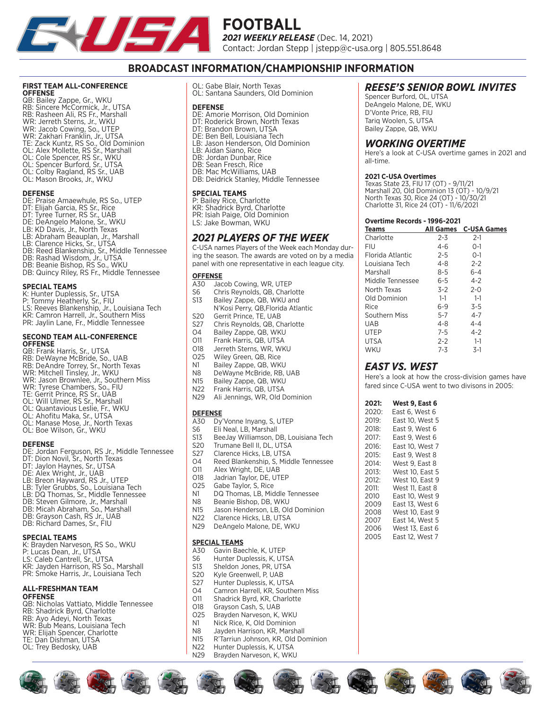

### **BROADCAST INFORMATION/CHAMPIONSHIP INFORMATION**

#### **FIRST TEAM ALL-CONFERENCE OFFENSE**

QB: Bailey Zappe, Gr., WKU RB: Sincere McCormick, Jr., UTSA RB: Rasheen Ali, RS Fr., Marshall WR: Jerreth Sterns, Jr., WKU WR: Jacob Cowing, So., UTEP WR: Zakhari Franklin, Jr., UTSA TE: Zack Kuntz, RS So., Old Dominion OL: Alex Mollette, RS Sr., Marshall OL: Cole Spencer, RS Sr., WKU OL: Spencer Burford, Sr., UTSA OL: Colby Ragland, RS Sr., UAB OL: Mason Brooks, Jr., WKU

#### **DEFENSE**

DE: Praise Amaewhule, RS So., UTEP DT: Elijah Garcia, RS Sr., Rice DT: Tyree Turner, RS Sr., UAB DE: DeAngelo Malone, Sr., WKU LB: KD Davis, Jr., North Texas LB: Abraham Beauplan, Jr., Marshall LB: Clarence Hicks, Sr., UTSA DB: Reed Blankenship, Sr., Middle Tennessee DB: Rashad Wisdom, Jr., UTSA DB: Beanie Bishop, RS So., WKU DB: Quincy Riley, RS Fr., Middle Tennessee

#### **SPECIAL TEAMS**

- K: Hunter Duplessis, Sr., UTSA
- P: Tommy Heatherly, Sr., FIU
- LS: Reeves Blankenship, Jr., Louisiana Tech KR: Camron Harrell, Jr., Southern Miss
- PR: Jaylin Lane, Fr., Middle Tennessee

#### **SECOND TEAM ALL-CONFERENCE OFFENSE**

- QB: Frank Harris, Sr., UTSA RB: DeWayne McBride, So., UAB RB: DeAndre Torrey, Sr., North Texas WR: Mitchell Tinsley, Jr., WKU WR: Jason Brownlee, Jr., Southern Miss WR: Tyrese Chambers, So., FIU TE: Gerrit Prince, RS Sr., UAB
- OL: Will Ulmer, RS Sr., Marshall
- OL: Quantavious Leslie, Fr., WKU
- OL: Ahofitu Maka, Sr., UTSA
- OL: Manase Mose, Jr., North Texas OL: Boe Wilson, Gr., WKU

#### **DEFENSE**

DE: Jordan Ferguson, RS Jr., Middle Tennessee DT: Dion Novil, Sr., North Texas DT: Jaylon Haynes, Sr., UTSA DE: Alex Wright, Jr., UAB LB: Breon Hayward, RS Jr., UTEP LB: Tyler Grubbs, So., Louisiana Tech LB: DQ Thomas, Sr., Middle Tennessee DB: Steven Gilmore, Jr., Marshall DB: Micah Abraham, So., Marshall DB: Grayson Cash, RS Jr., UAB DB: Richard Dames, Sr., FIU

#### **SPECIAL TEAMS**

| K: Brayden Narveson, RS So., WKU      |
|---------------------------------------|
| P: Lucas Dean, Jr., UTSA              |
| LS: Caleb Cantrell, Sr., UTSA         |
| KR: Javden Harrison. RS So Marshall   |
| PR: Smoke Harris, Jr., Louisiana Tech |
|                                       |

#### **ALL-FRESHMAN TEAM OFFENSE**

QB: Nicholas Vattiato, Middle Tennessee RB: Shadrick Byrd, Charlotte RB: Ayo Adeyi, North Texas WR: Bub Means, Louisiana Tech WR: Elijah Spencer, Charlotte TE: Dan Dishman, UTSA OL: Trey Bedosky, UAB

OL: Gabe Blair, North Texas OL: Santana Saunders, Old Dominion

#### **DEFENSE**

DE: Amorie Morrison, Old Dominion DE: Allione Fromson, Ord Bommin<br>DT: Roderick Brown, North Texas DT: Brandon Brown, UTSA DE: Ben Bell, Louisiana Tech LB: Jason Henderson, Old Dominion LB: Aidan Siano, Rice DB: Jordan Dunbar, Rice DB: Sean Fresch, Rice DB: Mac McWilliams, UAB DB: Deidrick Stanley, Middle Tennessee

#### **SPECIAL TEAMS**

P: Bailey Rice, Charlotte KR: Shadrick Byrd, Charlotte PR: Isiah Paige, Old Dominion LS: Jake Bowman, WKU

### *2021 PLAYERS OF THE WEEK*

C-USA names Players of the Week each Monday during the season. The awards are voted on by a media panel with one representative in each league city.

# **OFFENSE**<br>A30 Jac

- A30 Jacob Cowing, WR, UTEP<br>S6 Chris Revnolds, QB, Charl
- S6 Chris Reynolds, QB, Charlotte<br>S13 Bailey Zappe, QB, WKU and
- Bailey Zappe, QB, WKU and N'Kosi Perry, QB,Florida Atlantic
- 
- S20 Gerrit Prince, TE, UAB<br>S27 Chris Revnolds, QB, Cl
- S27 Chris Reynolds, QB, Charlotte<br>O4 Bailey Zappe, QB, WKU
- O4 Bailey Zappe, QB, WKU<br>O11 Frank Harris, QB, UTSA
- O11 Frank Harris, QB, UTSA<br>O18 Jerreth Sterns, WR, WK O18 Jerreth Sterns, WR, WKU<br>O25 Wiley Green OB Rice
- O25 Wiley Green, QB, Rice<br>N1 Bailey Zappe, QB, WKI
- N1 Bailey Zappe, QB, WKU<br>N8 DeWayne McRride, RB I
- N8 DeWayne McBride, RB, UAB<br>N15 Bailey Zappe, QB, WKU
- N15 Bailey Zappe, QB, WKU<br>N22 Frank Harris, QB, UTSA
- Frank Harris, QB, UTSA
- N29 Ali Jennings, WR, Old Dominion

# **DEFENSE**<br>A30 Dv

- 
- A30 Dy'Vonne Inyang, S, UTEP<br>S6 Eli Neal, LB, Marshall S6 Eli Neal, LB, Marshall<br>S13 Bee Jay Williamson D
- S13 BeeJay Williamson, DB, Louisiana Tech<br>S20 Trumane Bell II, DL, UTSA
- S20 Trumane Bell II, DL, UTSA<br>S27 Clarence Hicks, LB, UTSA
- 
- S27 Clarence Hicks, LB, UTSA<br>04 Reed Blankenship, S. Mid O4 Reed Blankenship, S, Middle Tennessee<br>O11 Alex Wright, DE, UAB
- O11 Alex Wright, DE, UAB<br>O18 Ladrian Taylor DE LIT
- 
- O18 Jadrian Taylor, DE, UTEP<br>O25 Gabe Taylor, S. Rice
- O25 Gabe Taylor, S, Rice<br>N1 DQ Thomas, LB, Mic N1 DQ Thomas, LB, Middle Tennessee<br>N8 Beanie Bishop, DB, WKU
- 
- N8 Beanie Bishop, DB, WKU<br>N15 Jason Henderson LB, Old
- N15 Jason Henderson, LB, Old Dominion<br>N22 Clarence Hicks LB LITSA
- N22 Clarence Hicks, LB, UTSA<br>N29 DeAngelo Malone, DE, W DeAngelo Malone, DE, WKU

#### **SPECIAL TEAMS**

- A30 Gavin Baechle, K, UTEP<br>S6 Hunter Duplessis, K, UT.
- S6 Hunter Duplessis, K, UTSA<br>S13 Sheldon Jones, PR, UTSA
- Sheldon Jones, PR, UTSA
- S20 Kyle Greenwell, P, UAB<br>S27 Hunter Duplessis, K, UT
- S27 Hunter Duplessis, K, UTSA
- O4 Camron Harrell, KR, Southern Miss<br>O11 Shadrick Byrd, KR, Charlotte
- O11 Shadrick Byrd, KR, Charlotte<br>O18 Gravson Cash, S, UAB
- O18 Grayson Cash, S, UAB<br>O25 Brayden Narveson, K,
- O25 Brayden Narveson, K, WKU<br>N1 Nick Rice, K, Old Dominion
- N1 Nick Rice, K, Old Dominion<br>N8 Lavden Harrison, KR, Marsh
- N8 Jayden Harrison, KR, Marshall<br>N15 R'Tarriun Johnson, KR, Old Do
- N15 R'Tarriun Johnson, KR, Old Dominion<br>N22 Hunter Duplessis K UTSA
- N22 Hunter Duplessis, K, UTSA<br>N29 Brayden Narveson, K, WKI Brayden Narveson, K, WKU

### *REESE'S SENIOR BOWL INVITES*

Spencer Burford, OL, UTSA DeAngelo Malone, DE, WKU D'Vonte Price, RB, FIU Tariq Woolen, S, UTSA Bailey Zappe, QB, WKU

### *WORKING OVERTIME*

Here's a look at C-USA overtime games in 2021 and all-time.

#### **2021 C-USA Overtimes**

Texas State 23, FIU 17 (OT) - 9/11/21 Marshall 20, Old Dominion 13 (OT) - 10/9/21 North Texas 30, Rice 24 (OT) - 10/30/21 Charlotte 31, Rice 24 (OT) - 11/6/2021

#### **Overtime Records - 1996-2021**

| <b>Teams</b>     | <b>All Games</b> | <b>C-USA Games</b> |
|------------------|------------------|--------------------|
| Charlotte        | $2 - 3$          | $2-1$              |
| FIU              | 4-6              | $O-1$              |
| Florida Atlantic | $2 - 5$          | $O-1$              |
| Louisiana Tech   | $4 - 8$          | $2 - 2$            |
| Marshall         | $8 - 5$          | $6 - 4$            |
| Middle Tennessee | 6-5              | $4 - 2$            |
| North Texas      | $3-2$            | $2 - 0$            |
| Old Dominion     | $1-1$            | $1 - 1$            |
| Rice             | $6 - 9$          | $3 - 5$            |
| Southern Miss    | $5 - 7$          | $4 - 7$            |
| UAB              | $4 - 8$          | $4 - 4$            |
| <b>UTEP</b>      | $7 - 5$          | $4 - 2$            |
| <b>UTSA</b>      | $2 - 2$          | $1 - 1$            |
| WKU              | 7-3              | $3-1$              |

### *EAST VS. WEST*

Here's a look at how the cross-division games have fared since C-USA went to two divisons in 2005:

| 2021: | West 9, East 6  |
|-------|-----------------|
| 2020: | East 6, West 6  |
| 2019: | East 10. West 5 |
| 2018: | East 9, West 6  |
| 2017: | East 9, West 6  |
| 2016: | East 10. West 7 |
| 2015: | East 9. West 8  |
| 2014: | West 9, East 8  |
| 2013: | West 10. East 5 |
| 2012: | West 10, East 9 |
| 2011: | West 11, East 8 |
| 2010  | East 10. West 9 |
| 2009  | East 13. West 6 |
| 2008  | West 10, East 9 |
| 2007  | East 14. West 5 |
| 2006  | West 13. East 6 |
| 2005  | East 12. West 7 |

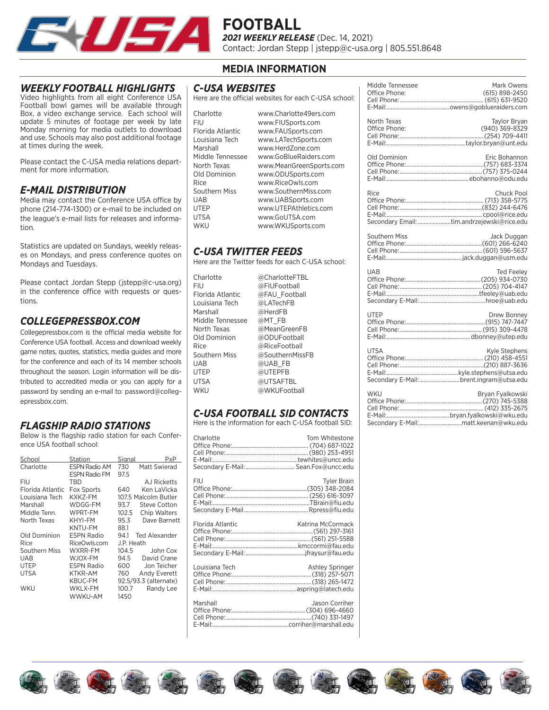

### *WEEKLY FOOTBALL HIGHLIGHTS*

Video highlights from all eight Conference USA Football bowl games will be available through Box, a video exchange service. Each school will update 5 minutes of footage per week by late Monday morning for media outlets to download and use. Schools may also post additional footage at times during the week.

Please contact the C-USA media relations department for more information.

### *E-MAIL DISTRIBUTION*

Media may contact the Conference USA office by phone (214-774-1300) or e-mail to be included on the league's e-mail lists for releases and information.

Statistics are updated on Sundays, weekly releases on Mondays, and press conference quotes on Mondays and Tuesdays.

Please contact Jordan Stepp (jstepp@c-usa.org) in the conference office with requests or questions.

### *COLLEGEPRESSBOX.COM*

Collegepressbox.com is the official media website for Conference USA football. Access and download weekly game notes, quotes, statistics, media guides and more for the conference and each of its 14 member schools throughout the season. Login information will be distributed to accredited media or you can apply for a password by sending an e-mail to: password@collegepressbox.com.

### *FLAGSHIP RADIO STATIONS*

Below is the flagship radio station for each Conference USA football school:

| School           | Station              | Signal     | PxP                   |
|------------------|----------------------|------------|-----------------------|
| Charlotte        | ESPN Radio AM        | 730        | Matt Swierad          |
|                  | <b>ESPN Radio FM</b> | 97.5       |                       |
| FIU              | TBD                  |            | <b>AJ Ricketts</b>    |
| Florida Atlantic | <b>Fox Sports</b>    | 640        | Ken LaVicka           |
| Louisiana Tech   | KXK7-FM              |            | 107.5 Malcolm Butler  |
| Marshall         | WDGG-FM              | 93.7       | Steve Cotton          |
| Middle Tenn.     | WPRT-FM              | 102.5      | Chip Walters          |
| North Texas      | KHYI-FM              | 95.3       | Dave Barnett          |
|                  | KNTU-FM              | 88.1       |                       |
| Old Dominion     | <b>ESPN Radio</b>    | 941        | Ted Alexander         |
| Rice             | RiceOwls.com         | J.P. Heath |                       |
| Southern Miss    | WXRR-FM              | 104.5      | John Cox              |
| UAB              | WJOX-FM              | 94.5       | David Crane           |
| UTEP             | ESPN Radio           | 600        | Jon Teicher           |
| UTSA             | KTKR-AM              | 760        | Andy Everett          |
|                  | KBUC-FM              |            | 92.5/93.3 (alternate) |
| WKU              | WKLX-FM              | 100.7      | Randy Lee             |
|                  | WWKU-AM              | 1450       |                       |

### **MEDIA INFORMATION**

### *C-USA WEBSITES*

Here are the official websites for each C-USA school:

| Charlotte        | www.Charlotte49ers.com  |
|------------------|-------------------------|
| FIU              | www.FIUSports.com       |
| Florida Atlantic | www.FAUSports.com       |
| Louisiana Tech   | www.LATechSports.com    |
| Marshall         | www.HerdZone.com        |
| Middle Tennessee | www.GoBlueRaiders.com   |
| North Texas      | www.MeanGreenSports.com |
| Old Dominion     | www.ODUSports.com       |
| Rice             | www.RiceOwls.com        |
| Southern Miss    | www.SouthernMiss.com    |
| UAR              | www.UABSports.com       |
| UTEP             | www.UTEPAthletics.com   |
| UTSA             | www.GoUTSA.com          |
| WKU              | www.WKUSports.com       |
|                  |                         |

### *C-USA TWITTER FEEDS*

Here are the Twitter feeds for each C-USA school:

| Charlotte<br>FIU | @CharlotteFTBL<br>@FIUFootball |
|------------------|--------------------------------|
| Florida Atlantic | @FAU Football                  |
| Louisiana Tech   | @LATechFB                      |
| Marshall         | @HerdFB                        |
| Middle Tennessee | @MT FB                         |
| North Texas      | @MeanGreenFB                   |
| Old Dominion     | @ODUFootball                   |
| Rice             | @RiceFootball                  |
| Southern Miss    | @SouthernMissFB                |
| UAB              | @UAB FB                        |
| UTEP             | @UTEPFB                        |
| UTSA             | @UTSAFTBL                      |
| WKU              | @WKUFootball                   |

### *C-USA FOOTBALL SID CONTACTS*

Here is the information for each C-USA football SID:

| Charlotte<br>Secondary E-Mail:  Sean.Fox@uncc.edu | Tom Whitestone     |
|---------------------------------------------------|--------------------|
| FIU                                               | <b>Tyler Brain</b> |
| Florida Atlantic                                  | Katrina McCormack  |
| Louisiana Tech                                    | Ashley Springer    |
| Marshall                                          | Jason Corriber     |

| Middle Tennessee<br>Office Phone:<br>(615) 898-2450                    | Mark Owens          |
|------------------------------------------------------------------------|---------------------|
| North Texas<br>(940) 369-8329<br>Office Phone:                         | <b>Taylor Bryan</b> |
| Eric Bohannon<br>Old Dominion                                          |                     |
| Rice<br>Secondary Email: tim.andrzejewski@rice.edu                     | Chuck Pool          |
| <b>Southern Miss</b>                                                   | Jack Duggan         |
| <b>UAB</b>                                                             | <b>Ted Feelev</b>   |
| UTFP                                                                   | Drew Bonney         |
| <b>UTSA</b><br>Kyle Stephens<br>Secondary E-Mail:brent.ingram@utsa.edu |                     |
| <b>WKU</b><br>Brvan Fvalkowski                                         |                     |

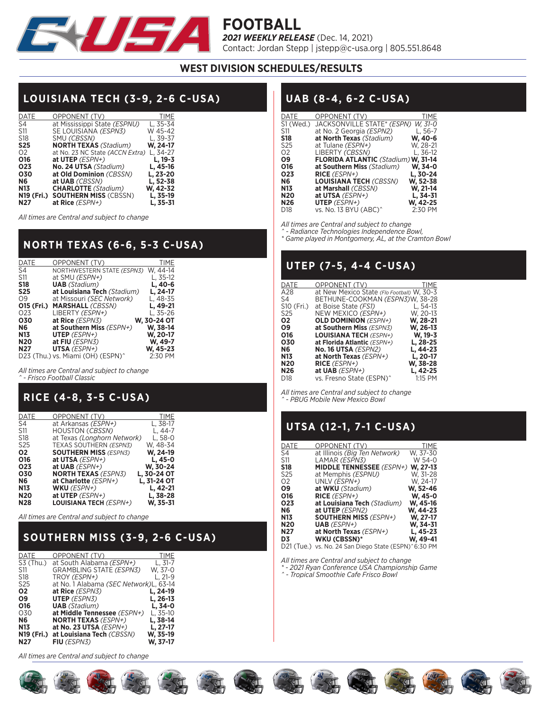

### **WEST DIVISION SCHEDULES/RESULTS**

# **LOUISIANA TECH (3-9, 2-6 C-USA)**

| <b>DATE</b>     | OPPONENT (TV)                    | <b>TIME</b> |
|-----------------|----------------------------------|-------------|
| S4              | at Mississippi State (ESPNU)     | L, 35-34    |
| <b>S11</b>      | SE LOUISIANA <i>(ESPN3)</i>      | W 45-42     |
| S <sub>18</sub> | SMU (CBSSN)                      | L. 39-37    |
| <b>S25</b>      | <b>NORTH TEXAS (Stadium)</b>     | W. 24-17    |
| 02              | at No. 23 NC State (ACCN Extra)  | L. 34-27    |
| 016             | at UTEP $(ESPN+)$                | L. 19-3     |
| O <sub>23</sub> | No. 24 UTSA (Stadium)            | L, 45-16    |
| 030             | at Old Dominion (CBSSN)          | L, 23-20    |
| <b>N6</b>       | at UAB (CBSSN)                   | L, 52-38    |
| <b>N13</b>      | <b>CHARLOTTE</b> (Stadium)       | W, 42-32    |
|                 | N19 (Fri.) SOUTHERN MISS (CBSSN) | L, 35-19    |
| N <sub>27</sub> | at Rice (ESPN+)                  | L. 35-31    |

*All times are Central and subject to change*

# **NORTH TEXAS (6-6, 5-3 C-USA)**

| <b>DATE</b>     | OPPONENT (TV)                                 | <b>TIME</b> |
|-----------------|-----------------------------------------------|-------------|
| S4              | NORTHWESTERN STATE (ESPN3)                    | W. 44-14    |
| S11             | at SMU (ESPN+)                                | L, 35-12    |
| <b>S18</b>      | <b>UAB</b> (Stadium)                          | L, 40-6     |
| <b>S25</b>      | at Louisiana Tech (Stadium)                   | L, 24-17    |
| O <sub>9</sub>  | at Missouri (SEC Network)                     | L, 48-35    |
|                 | <b>O15 (Fri.) MARSHALL (CBSSN)</b>            | L, 49-21    |
| O <sub>23</sub> | LIBERTY (ESPN+)                               | L, 35-26    |
| 030             | at Rice (ESPN3)                               | W, 30-24 OT |
| N6              | at Southern Miss $(ESPN+)$                    | W, 38-14    |
| <b>N13</b>      | UTEP $(ESPN+)$                                | W, 20-17    |
| <b>N20</b>      | at FIU (ESPN3)                                | W, 49-7     |
| <b>N27</b>      | UTSA (ESPN+)                                  | W, 45-23    |
|                 | D23 (Thu.) vs. Miami (OH) (ESPN) <sup>^</sup> | 2:30 PM     |

*All times are Central and subject to change ^ - Frisco Football Classic*

# **RICE (4-8, 3-5 C-USA)**

| DATE            | OPPONENT (TV)                     | TIME        |
|-----------------|-----------------------------------|-------------|
| S4              | at Arkansas (ESPN+)               | L, 38-17    |
| S11             | HOUSTON ( <i>CBSSN</i> )          | L. 44-7     |
| S18             | at Texas (Longhorn Network)       | L. 58-0     |
| S <sub>25</sub> | <b>TEXAS SOUTHERN (ESPN3)</b>     | W. 48-34    |
| 02              | <b>SOUTHERN MISS (ESPN3)</b>      | W, 24-19    |
| 016             | at UTSA (ESPN+)                   | L. 45-0     |
| 023             | at UAB $(ESPN+)$                  | W, 30-24    |
| 030             | <b>NORTH TEXAS</b> <i>(ESPN3)</i> | L, 30-24 OT |
| N6              | at Charlotte (ESPN+)              | L, 31-24 OT |
| N13             | WKU $(ESPN+)$                     | L, 42-21    |
| N20             | at UTEP $(ESPN+)$                 | L, 38-28    |
| <b>N28</b>      | <b>LOUISIANA TECH (ESPN+)</b>     | W. 35-31    |

*All times are Central and subject to change*

# **SOUTHERN MISS (3-9, 2-6 C-USA)**

| DATE<br>OPPONENT (TV)                         |           |
|-----------------------------------------------|-----------|
| at South Alabama (ESPN+)<br>S3 (Thu.)         | L. $31-7$ |
| GRAMBLING STATE (ESPN3)<br>S11                | W. 37-0   |
| S18<br>TROY (ESPN+)                           | L, 21-9   |
| at No. 1 Alabama (SEC Network)L, 63-14<br>S25 |           |
| Ο2<br>at Rice (ESPN3)                         | L, 24-19  |
| <b>UTEP</b> (ESPN3)<br>Ο9                     | L, 26-13  |
| <b>UAB</b> (Stadium)<br>016                   | L. 34-0   |
| 030<br>at Middle Tennessee (ESPN+)            | L, 35-10  |
| <b>NORTH TEXAS (ESPN+)</b><br>Ν6              | L. 38-14  |
| at No. 23 UTSA (ESPN+)<br>N13                 | L, 27-17  |
| N19 (Fri.) at Louisiana Tech (CBSSN)          | W. 35-19  |
| N27<br>FIU (ESPN3)                            | W. 37-17  |

*All times are Central and subject to change*

## **UAB (8-4, 6-2 C-USA)**

| DATE            | OPPONENT (TV)                              | TIME       |
|-----------------|--------------------------------------------|------------|
| S1 (Wed.)       | JACKSONVILLE STATE* (ESPN)                 | W. 31-0    |
| S11             | at No. 2 Georgia (ESPN2)                   | L, 56-7    |
| <b>S18</b>      | at North Texas (Stadium)                   | W, 40-6    |
| S <sub>25</sub> | at Tulane (ESPN+)                          | W. 28-21   |
| 02              | LIBERTY (CBSSN)                            | L, $36-12$ |
| Ο9              | <b>FLORIDA ATLANTIC</b> (Stadium) W, 31-14 |            |
| 016             | at Southern Miss (Stadium)                 | W. 34-0    |
| O <sub>23</sub> | RICE $(ESPN+)$                             | L, 30-24   |
| N6              | <b>LOUISIANA TECH (CBSSN)</b>              | W, 52-38   |
| N13             | at Marshall (CBSSN)                        | W, 21-14   |
| N20             | at UTSA $(ESPN+)$                          | L, 34-31   |
| N26             | <b>UTEP</b> (ESPN+)                        | W, 42-25   |
| D <sub>18</sub> | vs. No. 13 BYU (ABC)^                      | 2:30 PM    |

*All times are Central and subject to change* 

*^ - Radiance Technologies Independence Bowl,* 

*\* Game played in Montgomery, AL, at the Cramton Bowl*

# **UTEP (7-5, 4-4 C-USA)**

| DATE       | OPPONENT (TV)                              | TIME      |
|------------|--------------------------------------------|-----------|
| A28        | at New Mexico State (Flo Football) W, 30-3 |           |
| S4         | BETHUNE-COOKMAN <i>(ESPN3)</i> W, 38-28    |           |
| S10 (Fri.) | at Boise State (FS1)                       | $L.54-13$ |
| S25        | NEW MEXICO <i>(ESPN+</i> )                 | W. 20-13  |
| 02         | <b>OLD DOMINION</b> (ESPN+)                | W. 28-21  |
| Ο9         | at Southern Miss (ESPN3)                   | W, 26-13  |
| 016        | <b>LOUISIANA TECH (ESPN+)</b>              | W, 19-3   |
| 030        | at Florida Atlantic (ESPN+)                | L, 28-25  |
| Ν6         | <b>No. 16 UTSA (ESPN2)</b>                 | L. 44-23  |
| N13        | at North Texas ( $ESPN+$ )                 | L, 20-17  |
| N20        | $RICE (ESPN+)$                             | W. 38-28  |
| N26        | at UAB $(ESPN+)$                           | L. 42-25  |
| D18        | vs. Fresno State (ESPN)^                   | 1:15 PM   |
|            |                                            |           |

*All times are Central and subject to change ^ - PBUG Mobile New Mexico Bowl*

## **UTSA (12-1, 7-1 C-USA)**

| DATE | OPPONENT (TV)                   | TIME     |
|------|---------------------------------|----------|
| S4   | at Illinois (Big Ten Network)   | W. 37-30 |
| S11  | LAMAR (ESPN3)                   | W 54-0   |
| S18  | <b>MIDDLE TENNESSEE</b> (ESPN+) | W. 27-13 |
| S25  | at Memphis (ESPNU)              | W. 31-28 |
| Ο2   | UNLV (ESPN+)                    | W. 24-17 |
| Ο9   | at WKU (Stadium)                | W, 52-46 |
| 016  | RICE $(ESPN+)$                  | W. 45-0  |
| 023  | at Louisiana Tech (Stadium)     | W, 45-16 |
| Ν6   | at UTEP (ESPN2)                 | W. 44-23 |
| N13  | <b>SOUTHERN MISS (ESPN+)</b>    | W, 27-17 |
| N20  | <b>UAB</b> (ESPN+)              | W. 34-31 |
| N27  | at North Texas (ESPN+)          | L, 45-23 |
| D3   | WKU (CBSSN)*                    | W, 49-41 |
|      |                                 |          |

D21 (Tue.) vs. No. 24 San Diego State (ESPN)^6:30 PM

*All times are Central and subject to change*

*\* - 2021 Ryan Conference USA Championship Game*

*^ - Tropical Smoothie Cafe Frisco Bowl*

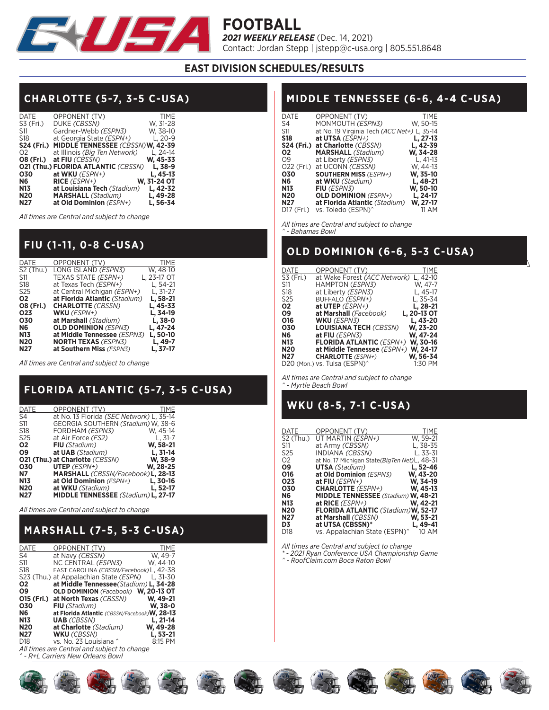

## **EAST DIVISION SCHEDULES/RESULTS**

# **CHARLOTTE (5-7, 3-5 C-USA)**

| <b>DATE</b>      | OPPONENT (TV)                               | <b>TIME</b> |
|------------------|---------------------------------------------|-------------|
| S3 (Fri.)        | DUKE (CBSSN)                                | W. 31-28    |
| S11              | Gardner-Webb (ESPN3)                        | W. 38-10    |
| S <sub>18</sub>  | at Georgia State (ESPN+)                    | $L. 20-9$   |
|                  | S24 (Fri.) MIDDLE TENNESSEE (CBSSN)W, 42-39 |             |
| O <sub>2</sub>   | at Illinois (Big Ten Network)               | L. 24-14    |
| <b>O8 (Fri.)</b> | at FIU (CBSSN)                              | W. 45-33    |
|                  | <b>021 (Thu.) FLORIDA ATLANTIC (CBSSN)</b>  | L, 38-9     |
| 030              | at WKU $(ESPN+)$                            | L, 45-13    |
| N6               | $RICE (ESPN+)$                              | W. 31-24 OT |
| <b>N13</b>       | at Louisiana Tech (Stadium)                 | L, 42-32    |
| <b>N20</b>       | <b>MARSHALL</b> (Stadium)                   | L, 49-28    |
| N <sub>27</sub>  | at Old Dominion (ESPN+)                     | L. 56-34    |

*All times are Central and subject to change*

### **FIU (1-11, 0-8 C-USA)**

| <b>DATE</b>      | OPPONENT (TV)                 | <b>TIME</b> |
|------------------|-------------------------------|-------------|
| $S2$ (Thu.)      | LONG ISLAND (ESPN3)           | W. 48-10    |
| S11              | TEXAS STATE (ESPN+)           | L, 23-17 OT |
| S <sub>18</sub>  | at Texas Tech (ESPN+)         | L. 54-21    |
| S <sub>25</sub>  | at Central Michigan (ESPN+)   | L. $31-27$  |
| 02               | at Florida Atlantic (Stadium) | L, 58-21    |
| <b>O8 (Fri.)</b> | <b>CHARLOTTE (CBSSN)</b>      | L, 45-33    |
| 023              | WKU $(ESPN+)$                 | L, 34-19    |
| 030              | at Marshall (Stadium)         | L, 38-0     |
| N6               | <b>OLD DOMINION (ESPN3)</b>   | L, 47-24    |
| <b>N13</b>       | at Middle Tennessee (ESPN3)   | L, 50-10    |
| <b>N20</b>       | <b>NORTH TEXAS (ESPN3)</b>    | L, 49-7     |
| <b>N27</b>       | at Southern Miss (ESPN3)      | L. 37-17    |

*All times are Central and subject to change*

# **FLORIDA ATLANTIC (5-7, 3-5 C-USA)**

| DATE            | OPPONENT (TV)                                     | TIME      |
|-----------------|---------------------------------------------------|-----------|
| S4              | at No. 13 Florida (SEC Network) L. 35-14          |           |
| S11             | GEORGIA SOUTHERN (Stadium) W. 38-6                |           |
| S18             | FORDHAM (ESPN3)                                   | W. 45-14  |
| S <sub>25</sub> | at Air Force (FS2)                                | L. $31-7$ |
| 02              | FIU (Stadium)                                     | W, 58-21  |
| Ο9              | at UAB (Stadium)                                  | L. 31-14  |
|                 | <b>O21 (Thu.) at Charlotte (CBSSN)</b>            | W, 38-9   |
| 030             | <b>UTEP</b> (ESPN+)                               | W, 28-25  |
| <b>N7</b>       | MARSHALL (CBSSN/Facebook) L, 28-13                |           |
| <b>N13</b>      | at Old Dominion (ESPN+)                           | L, 30-16  |
| <b>N20</b>      | at WKU (Stadium)                                  | L. 52-17  |
| N <sub>27</sub> | <b>MIDDLE TENNESSEE</b> (Stadium) <b>L, 27-17</b> |           |

*All times are Central and subject to change*

# **MARSHALL (7-5, 5-3 C-USA)**

| DATE            | OPPONENT (TV)                                 | TIME     |
|-----------------|-----------------------------------------------|----------|
| S4              | at Navy (CBSSN)                               | W. 49-7  |
| S11             | NC CENTRAL <i>(ESPN3)</i>                     | W. 44-10 |
| S18             | EAST CAROLINA (CBSSN/Facebook) L, 42-38       |          |
|                 | S23 (Thu.) at Appalachian State (ESPN)        | L. 31-30 |
| 02              | at Middle Tennessee (Stadium) L, 34-28        |          |
| Ο9              | OLD DOMINION (Facebook) W, 20-13 OT           |          |
|                 | <b>O15 (Fri.) at North Texas (CBSSN)</b>      | W, 49-21 |
| 030             | <b>FIU</b> (Stadium)                          | W. 38-0  |
| N6              | at Florida Atlantic (CBSSN/Facebook) W, 28-13 |          |
| <b>N13</b>      | <b>UAB</b> (CBSSN)                            | L, 21-14 |
| <b>N20</b>      | at Charlotte (Stadium)                        | W, 49-28 |
| N <sub>27</sub> | <b>WKU</b> (CBSSN)                            | L, 53-21 |
| D <sub>18</sub> | vs. No. 23 Louisiana ^                        | 8:15 PM  |

*All times are Central and subject to change*

*^ - R+L Carriers New Orleans Bowl*

# **MIDDLE TENNESSEE (6-6, 4-4 C-USA)**

| DATE                   | OPPONENT (TV)                               | TIME       |
|------------------------|---------------------------------------------|------------|
| S4                     | MONMOUTH (ESPN3)                            | W. 50-15   |
| S11                    | at No. 19 Virginia Tech (ACC Net+) L, 35-14 |            |
| <b>S18</b>             | at UTSA (ESPN+)                             | L, 27-13   |
|                        | <b>S24 (Fri.) at Charlotte (CBSSN)</b>      | L, 42-39   |
| 02                     | <b>MARSHALL</b> (Stadium)                   | W, 34-28   |
| Ο9                     | at Liberty (ESPN3)                          | L. $41-13$ |
| 022 (Fri.)             | at UCONN (CBSSN)                            | W. 44-13   |
| 030                    | <b>SOUTHERN MISS (ESPN+)</b>                | W. 35-10   |
| N6                     | at WKU (Stadium)                            | L, 48-21   |
| N13                    | FIU (ESPN3)                                 | W, 50-10   |
| <b>N20</b>             | <b>OLD DOMINION</b> (ESPN+)                 | L, 24-17   |
| N27                    | at Florida Atlantic (Stadium)               | W, 27-17   |
| D <sub>17</sub> (Fri.) | vs. Toledo (ESPN) <sup>^</sup>              | 11 AM      |

*All times are Central and subject to change ^ - Bahamas Bowl*

## **OLD DOMINION (6-6, 5-3 C-USA)**

 $\overline{ }$ 

| DATE            | OPPONENT (TV)                            | TIME        |
|-----------------|------------------------------------------|-------------|
| S3 (Fri.)       | at Wake Forest (ACC Network)             | L, 42-10    |
| S11             | HAMPTON (ESPN3)                          | W. 47-7     |
| S <sub>18</sub> | at Liberty (ESPN3)                       | L. 45-17    |
| S <sub>25</sub> | BUFFALO (ESPN+)                          | L. 35-34    |
| 02              | at UTEP $(ESPN+)$                        | L, 28-21    |
| Ο9              | at Marshall (Facebook)                   | L, 20-13 OT |
| 016             | <b>WKU</b> (ESPN3)                       | L, 43-20    |
| 030             | <b>LOUISIANA TECH (CBSSN)</b>            | W, 23-20    |
| <b>N6</b>       | at FIU (ESPN3)                           | W, 47-24    |
| N13             | <b>FLORIDA ATLANTIC (ESPN+)</b>          | W. 30-16    |
| <b>N20</b>      | at Middle Tennessee (ESPN+)              | W. 24-17    |
| N27             | <b>CHARLOTTE</b> (ESPN+)                 | W. 56-34    |
|                 | D20 (Mon.) vs. Tulsa (ESPN) <sup>^</sup> | 1:30 PM     |

*All times are Central and subject to change ^ - Myrtle Beach Bowl*

## **WKU (8-5, 7-1 C-USA)**

| DATE      | OPPONENT (TV)                                     | <b>TIME</b> |
|-----------|---------------------------------------------------|-------------|
| S2 (Thu.) | UT MARTIN (ESPN+)                                 | W, 59-21    |
| S11       | at Army (CBSSN)                                   | L, 38-35    |
| S25       | INDIANA (CBSSN)                                   | L, 33-31    |
| Ο2        | at No. 17 Michigan State(BigTen Net)L, 48-31      |             |
| Ο9        | <b>UTSA</b> (Stadium)                             | L, 52-46    |
| 016       | at Old Dominion (ESPN3)                           | W, 43-20    |
| 023       | at FIU $(ESPN+)$                                  | W. 34-19    |
| 030       | <b>CHARLOTTE</b> (ESPN+)                          | W. 45-13    |
| Ν6        | <b>MIDDLE TENNESSEE</b> (Stadium) <b>W. 48-21</b> |             |
| N13       | at RICE $(ESPN+)$                                 | W. 42-21    |
| N20       | <b>FLORIDA ATLANTIC</b> (Stadium) W, 52-17        |             |
| N27       | at Marshall (CBSSN)                               | W, 53-21    |
| D3        | at UTSA (CBSSN)*                                  | L, 49-41    |
| D18       | vs. Appalachian State (ESPN) <sup>^</sup>         | 10 AM       |

*All times are Central and subject to change*

*\* - 2021 Ryan Conference USA Championship Game ^ - RoofClaim.com Boca Raton Bowl*